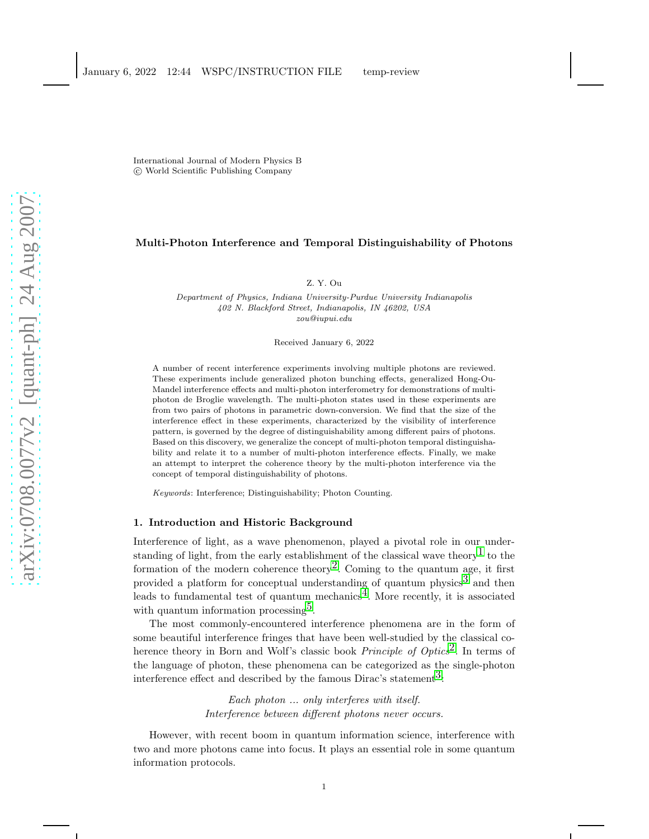International Journal of Modern Physics B c World Scientific Publishing Company

### Multi-Photon Interference and Temporal Distinguishability of Photons

Z. Y. Ou

Department of Physics, Indiana University-Purdue University Indianapolis 402 N. Blackford Street, Indianapolis, IN 46202, USA zou@iupui.edu

Received January 6, 2022

A number of recent interference experiments involving multiple photons are reviewed. These experiments include generalized photon bunching effects, generalized Hong-Ou-Mandel interference effects and multi-photon interferometry for demonstrations of multiphoton de Broglie wavelength. The multi-photon states used in these experiments are from two pairs of photons in parametric down-conversion. We find that the size of the interference effect in these experiments, characterized by the visibility of interference pattern, is governed by the degree of distinguishability among different pairs of photons. Based on this discovery, we generalize the concept of multi-photon temporal distinguishability and relate it to a number of multi-photon interference effects. Finally, we make an attempt to interpret the coherence theory by the multi-photon interference via the concept of temporal distinguishability of photons.

Keywords: Interference; Distinguishability; Photon Counting.

### 1. Introduction and Historic Background

Interference of light, as a wave phenomenon, played a pivotal role in our under-standing of light, from the early establishment of the classical wave theory<sup>[1](#page-23-0)</sup> to the formation of the modern coherence theory<sup>2</sup>. Coming to the quantum age, it first provided a platform for conceptual understanding of quantum physics<sup>[3](#page-23-2)</sup> and then leads to fundamental test of quantum mechanics<sup>4</sup>. More recently, it is associated with quantum information processing<sup>5</sup>.

The most commonly-encountered interference phenomena are in the form of some beautiful interference fringes that have been well-studied by the classical coherence theory in Born and Wolf's classic book *Principle of Optics*<sup>2</sup>. In terms of the language of photon, these phenomena can be categorized as the single-photon interference effect and described by the famous Dirac's statement<sup>3</sup>:

> Each photon ... only interferes with itself. Interference between different photons never occurs.

However, with recent boom in quantum information science, interference with two and more photons came into focus. It plays an essential role in some quantum information protocols.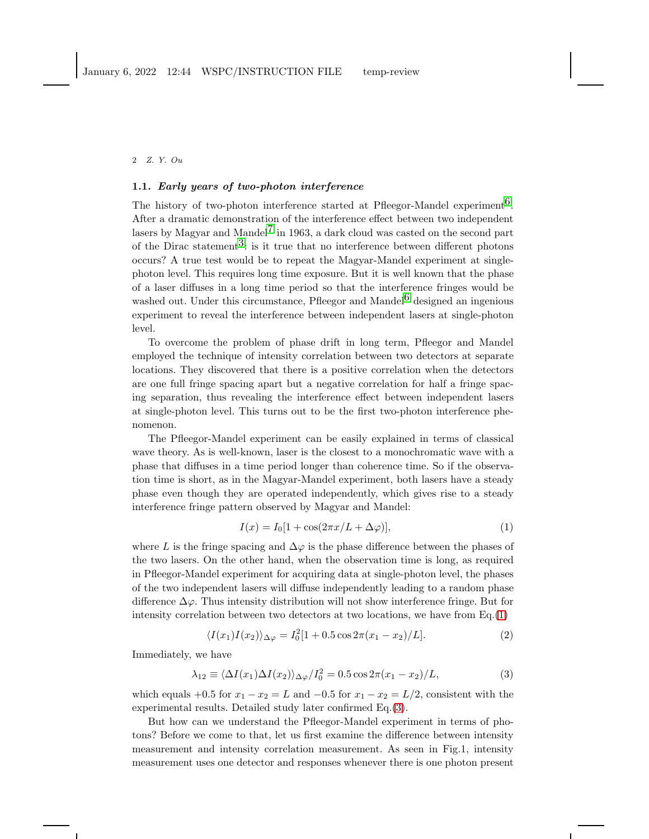#### 1.1. Early years of two-photon interference

The history of two-photon interference started at Pfleegor-Mandel experiment<sup>6</sup>. After a dramatic demonstration of the interference effect between two independent lasers by Magyar and Mandel<sup>[7](#page-23-6)</sup> in 1963, a dark cloud was casted on the second part of the Dirac statement<sup>3</sup>: is it true that no interference between different photons occurs? A true test would be to repeat the Magyar-Mandel experiment at singlephoton level. This requires long time exposure. But it is well known that the phase of a laser diffuses in a long time period so that the interference fringes would be washed out. Under this circumstance, Pfleegor and Mandel<sup>[6](#page-23-5)</sup> designed an ingenious experiment to reveal the interference between independent lasers at single-photon level.

To overcome the problem of phase drift in long term, Pfleegor and Mandel employed the technique of intensity correlation between two detectors at separate locations. They discovered that there is a positive correlation when the detectors are one full fringe spacing apart but a negative correlation for half a fringe spacing separation, thus revealing the interference effect between independent lasers at single-photon level. This turns out to be the first two-photon interference phenomenon.

The Pfleegor-Mandel experiment can be easily explained in terms of classical wave theory. As is well-known, laser is the closest to a monochromatic wave with a phase that diffuses in a time period longer than coherence time. So if the observation time is short, as in the Magyar-Mandel experiment, both lasers have a steady phase even though they are operated independently, which gives rise to a steady interference fringe pattern observed by Magyar and Mandel:

<span id="page-1-0"></span>
$$
I(x) = I_0[1 + \cos(2\pi x/L + \Delta\varphi)],
$$
\n(1)

where L is the fringe spacing and  $\Delta\varphi$  is the phase difference between the phases of the two lasers. On the other hand, when the observation time is long, as required in Pfleegor-Mandel experiment for acquiring data at single-photon level, the phases of the two independent lasers will diffuse independently leading to a random phase difference  $\Delta \varphi$ . Thus intensity distribution will not show interference fringe. But for intensity correlation between two detectors at two locations, we have from  $Eq.(1)$  $Eq.(1)$ 

<span id="page-1-2"></span>
$$
\langle I(x_1)I(x_2)\rangle_{\Delta\varphi} = I_0^2[1+0.5\cos 2\pi(x_1-x_2)/L].\tag{2}
$$

Immediately, we have

<span id="page-1-1"></span>
$$
\lambda_{12} \equiv \langle \Delta I(x_1) \Delta I(x_2) \rangle_{\Delta \varphi} / I_0^2 = 0.5 \cos 2\pi (x_1 - x_2) / L,\tag{3}
$$

which equals +0.5 for  $x_1 - x_2 = L$  and  $-0.5$  for  $x_1 - x_2 = L/2$ , consistent with the experimental results. Detailed study later confirmed Eq.[\(3\)](#page-1-1).

But how can we understand the Pfleegor-Mandel experiment in terms of photons? Before we come to that, let us first examine the difference between intensity measurement and intensity correlation measurement. As seen in Fig.1, intensity measurement uses one detector and responses whenever there is one photon present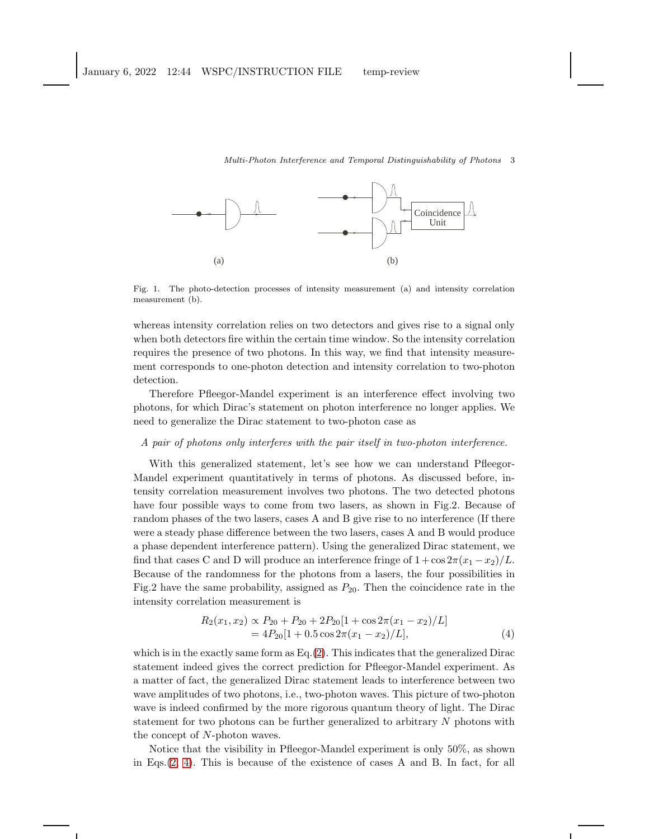

Fig. 1. The photo-detection processes of intensity measurement (a) and intensity correlation measurement (b).

whereas intensity correlation relies on two detectors and gives rise to a signal only when both detectors fire within the certain time window. So the intensity correlation requires the presence of two photons. In this way, we find that intensity measurement corresponds to one-photon detection and intensity correlation to two-photon detection.

Therefore Pfleegor-Mandel experiment is an interference effect involving two photons, for which Dirac's statement on photon interference no longer applies. We need to generalize the Dirac statement to two-photon case as

### A pair of photons only interferes with the pair itself in two-photon interference.

With this generalized statement, let's see how we can understand Pfleegor-Mandel experiment quantitatively in terms of photons. As discussed before, intensity correlation measurement involves two photons. The two detected photons have four possible ways to come from two lasers, as shown in Fig.2. Because of random phases of the two lasers, cases A and B give rise to no interference (If there were a steady phase difference between the two lasers, cases A and B would produce a phase dependent interference pattern). Using the generalized Dirac statement, we find that cases C and D will produce an interference fringe of  $1 + \cos 2\pi (x_1 - x_2)/L$ . Because of the randomness for the photons from a lasers, the four possibilities in Fig.2 have the same probability, assigned as  $P_{20}$ . Then the coincidence rate in the intensity correlation measurement is

<span id="page-2-0"></span>
$$
R_2(x_1, x_2) \propto P_{20} + P_{20} + 2P_{20}[1 + \cos 2\pi (x_1 - x_2)/L]
$$
  
=  $4P_{20}[1 + 0.5 \cos 2\pi (x_1 - x_2)/L],$  (4)

which is in the exactly same form as  $Eq.(2)$  $Eq.(2)$ . This indicates that the generalized Dirac statement indeed gives the correct prediction for Pfleegor-Mandel experiment. As a matter of fact, the generalized Dirac statement leads to interference between two wave amplitudes of two photons, i.e., two-photon waves. This picture of two-photon wave is indeed confirmed by the more rigorous quantum theory of light. The Dirac statement for two photons can be further generalized to arbitrary  $N$  photons with the concept of N-photon waves.

Notice that the visibility in Pfleegor-Mandel experiment is only 50%, as shown in Eqs.[\(2,](#page-1-2) [4\)](#page-2-0). This is because of the existence of cases A and B. In fact, for all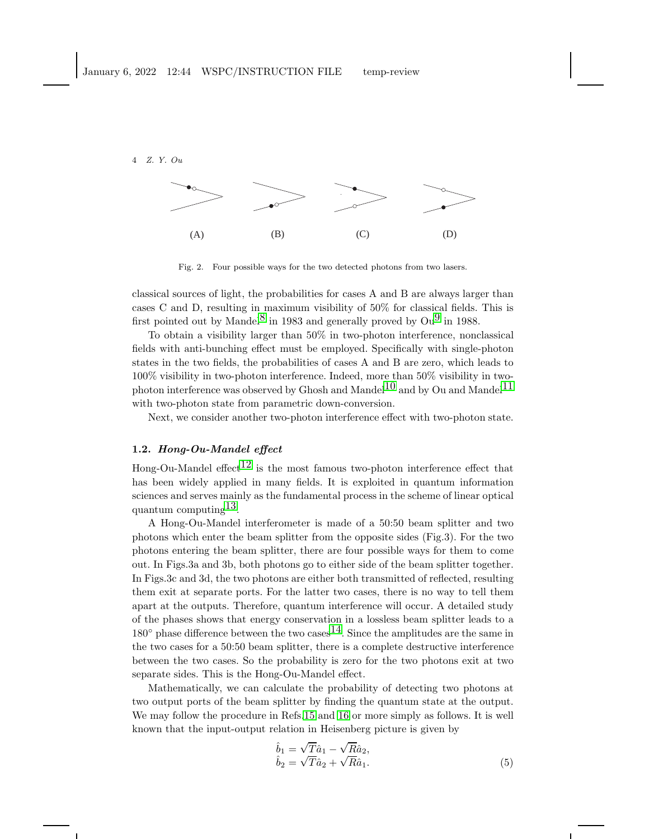

Fig. 2. Four possible ways for the two detected photons from two lasers.

classical sources of light, the probabilities for cases A and B are always larger than cases C and D, resulting in maximum visibility of 50% for classical fields. This is first pointed out by Mandel<sup>[8](#page-23-7)</sup> in 1983 and generally proved by  $\text{Ou}^9$  in 1988.

To obtain a visibility larger than 50% in two-photon interference, nonclassical fields with anti-bunching effect must be employed. Specifically with single-photon states in the two fields, the probabilities of cases A and B are zero, which leads to 100% visibility in two-photon interference. Indeed, more than 50% visibility in two-photon interference was observed by Ghosh and Mandel<sup>[10](#page-23-9)</sup> and by Ou and Mandel<sup>11</sup> with two-photon state from parametric down-conversion.

Next, we consider another two-photon interference effect with two-photon state.

### 1.2. Hong-Ou-Mandel effect

Hong-Ou-Mandel effect<sup>12</sup> is the most famous two-photon interference effect that has been widely applied in many fields. It is exploited in quantum information sciences and serves mainly as the fundamental process in the scheme of linear optical quantum computing  $^{13}$ .

A Hong-Ou-Mandel interferometer is made of a 50:50 beam splitter and two photons which enter the beam splitter from the opposite sides (Fig.3). For the two photons entering the beam splitter, there are four possible ways for them to come out. In Figs.3a and 3b, both photons go to either side of the beam splitter together. In Figs.3c and 3d, the two photons are either both transmitted of reflected, resulting them exit at separate ports. For the latter two cases, there is no way to tell them apart at the outputs. Therefore, quantum interference will occur. A detailed study of the phases shows that energy conservation in a lossless beam splitter leads to a  $180°$  phase difference between the two cases  $14$ . Since the amplitudes are the same in the two cases for a 50:50 beam splitter, there is a complete destructive interference between the two cases. So the probability is zero for the two photons exit at two separate sides. This is the Hong-Ou-Mandel effect.

Mathematically, we can calculate the probability of detecting two photons at two output ports of the beam splitter by finding the quantum state at the output. We may follow the procedure in Refs[.15](#page-24-0) and [16](#page-24-1) or more simply as follows. It is well known that the input-output relation in Heisenberg picture is given by

<span id="page-3-0"></span>
$$
\hat{b}_1 = \sqrt{T}\hat{a}_1 - \sqrt{R}\hat{a}_2,\n\hat{b}_2 = \sqrt{T}\hat{a}_2 + \sqrt{R}\hat{a}_1.
$$
\n(5)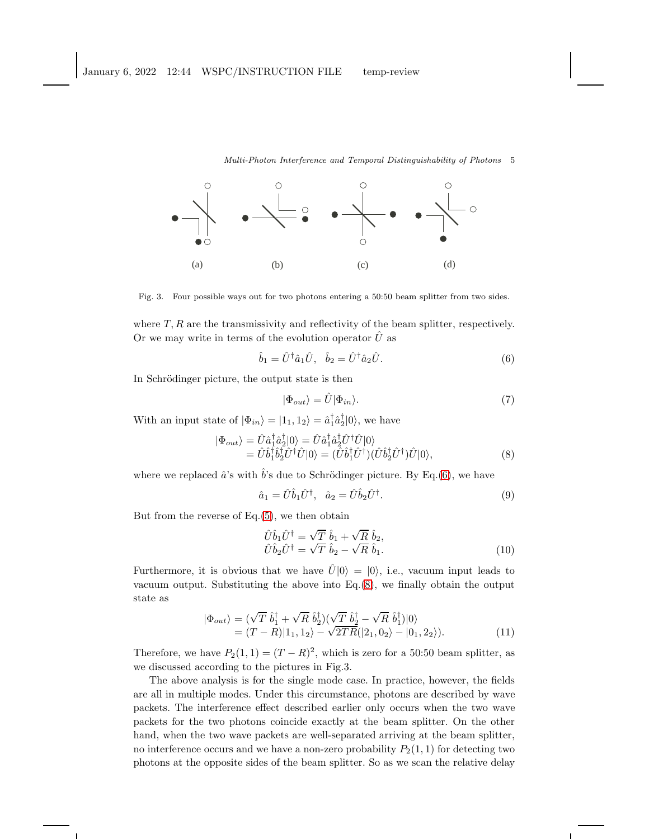

Fig. 3. Four possible ways out for two photons entering a 50:50 beam splitter from two sides.

where  $T, R$  are the transmissivity and reflectivity of the beam splitter, respectively. Or we may write in terms of the evolution operator  $\hat{U}$  as

<span id="page-4-0"></span>
$$
\hat{b}_1 = \hat{U}^\dagger \hat{a}_1 \hat{U}, \quad \hat{b}_2 = \hat{U}^\dagger \hat{a}_2 \hat{U}.
$$
\n
$$
(6)
$$

In Schrödinger picture, the output state is then

$$
|\Phi_{out}\rangle = \hat{U}|\Phi_{in}\rangle.
$$
 (7)

With an input state of  $|\Phi_{in}\rangle = |1_1, 1_2\rangle = \hat{a}_1^{\dagger} \hat{a}_2^{\dagger} |0\rangle$ , we have

<span id="page-4-1"></span>
$$
\begin{split} |\Phi_{out}\rangle &= \hat{U}\hat{a}_{1}^{\dagger}\hat{a}_{2}^{\dagger}|0\rangle = \hat{U}\hat{a}_{1}^{\dagger}\hat{a}_{2}^{\dagger}\hat{U}^{\dagger}\hat{U}|0\rangle \\ &= \hat{U}\hat{b}_{1}^{\dagger}\hat{b}_{2}^{\dagger}\hat{U}^{\dagger}\hat{U}|0\rangle = (\hat{U}\hat{b}_{1}^{\dagger}\hat{U}^{\dagger})(\hat{U}\hat{b}_{2}^{\dagger}\hat{U}^{\dagger})\hat{U}|0\rangle, \end{split} \tag{8}
$$

where we replaced  $\hat{a}$ 's with  $\hat{b}$ 's due to Schrödinger picture. By Eq.[\(6\)](#page-4-0), we have

$$
\hat{a}_1 = \hat{U}\hat{b}_1\hat{U}^\dagger, \quad \hat{a}_2 = \hat{U}\hat{b}_2\hat{U}^\dagger.
$$
\n(9)

But from the reverse of  $Eq.(5)$  $Eq.(5)$ , we then obtain

$$
\hat{U}\hat{b}_1\hat{U}^\dagger = \sqrt{T}\ \hat{b}_1 + \sqrt{R}\ \hat{b}_2, \n\hat{U}\hat{b}_2\hat{U}^\dagger = \sqrt{T}\ \hat{b}_2 - \sqrt{R}\ \hat{b}_1.
$$
\n(10)

Furthermore, it is obvious that we have  $\hat{U}|0\rangle = |0\rangle$ , i.e., vacuum input leads to vacuum output. Substituting the above into Eq.[\(8\)](#page-4-1), we finally obtain the output state as

<span id="page-4-2"></span>
$$
\begin{aligned} |\Phi_{out}\rangle &= (\sqrt{T} \ \hat{b}_1^{\dagger} + \sqrt{R} \ \hat{b}_2^{\dagger})(\sqrt{T} \ \hat{b}_2^{\dagger} - \sqrt{R} \ \hat{b}_1^{\dagger})|0\rangle \\ &= (T - R)|1_1, 1_2\rangle - \sqrt{2TR}(|2_1, 0_2\rangle - |0_1, 2_2\rangle). \end{aligned} \tag{11}
$$

Therefore, we have  $P_2(1,1) = (T - R)^2$ , which is zero for a 50:50 beam splitter, as we discussed according to the pictures in Fig.3.

The above analysis is for the single mode case. In practice, however, the fields are all in multiple modes. Under this circumstance, photons are described by wave packets. The interference effect described earlier only occurs when the two wave packets for the two photons coincide exactly at the beam splitter. On the other hand, when the two wave packets are well-separated arriving at the beam splitter, no interference occurs and we have a non-zero probability  $P_2(1, 1)$  for detecting two photons at the opposite sides of the beam splitter. So as we scan the relative delay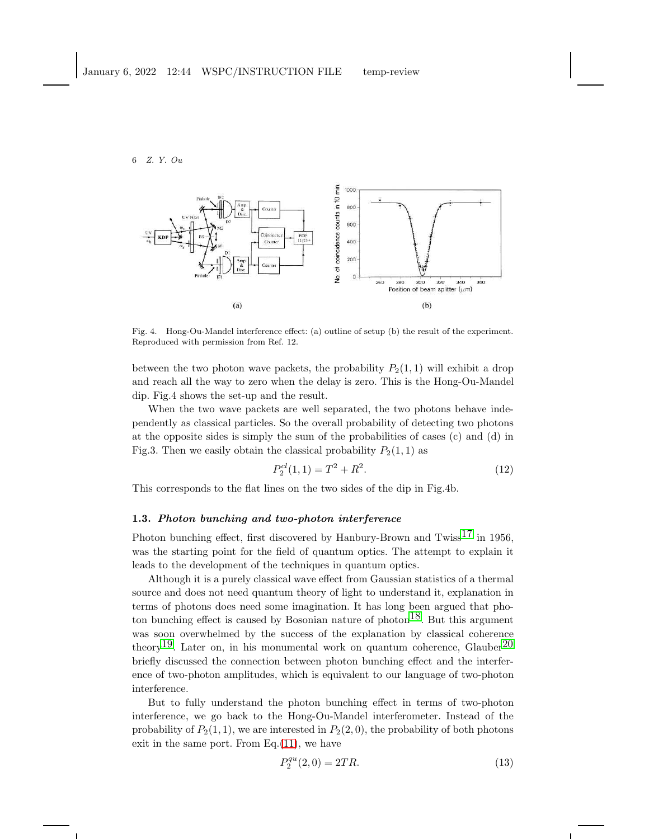

Fig. 4. Hong-Ou-Mandel interference effect: (a) outline of setup (b) the result of the experiment. Reproduced with permission from Ref. 12.

between the two photon wave packets, the probability  $P_2(1, 1)$  will exhibit a drop and reach all the way to zero when the delay is zero. This is the Hong-Ou-Mandel dip. Fig.4 shows the set-up and the result.

When the two wave packets are well separated, the two photons behave independently as classical particles. So the overall probability of detecting two photons at the opposite sides is simply the sum of the probabilities of cases (c) and (d) in Fig.3. Then we easily obtain the classical probability  $P_2(1, 1)$  as

$$
P_2^{cl}(1,1) = T^2 + R^2.
$$
\n(12)

This corresponds to the flat lines on the two sides of the dip in Fig.4b.

#### 1.3. Photon bunching and two-photon interference

Photon bunching effect, first discovered by Hanbury-Brown and Twiss<sup>[17](#page-24-2)</sup> in 1956, was the starting point for the field of quantum optics. The attempt to explain it leads to the development of the techniques in quantum optics.

Although it is a purely classical wave effect from Gaussian statistics of a thermal source and does not need quantum theory of light to understand it, explanation in terms of photons does need some imagination. It has long been argued that photon bunching effect is caused by Bosonian nature of photon<sup>18</sup>. But this argument was soon overwhelmed by the success of the explanation by classical coherence theory<sup>19</sup>. Later on, in his monumental work on quantum coherence, Glauber<sup>20</sup> briefly discussed the connection between photon bunching effect and the interference of two-photon amplitudes, which is equivalent to our language of two-photon interference.

But to fully understand the photon bunching effect in terms of two-photon interference, we go back to the Hong-Ou-Mandel interferometer. Instead of the probability of  $P_2(1, 1)$ , we are interested in  $P_2(2, 0)$ , the probability of both photons exit in the same port. From Eq. $(11)$ , we have

<span id="page-5-0"></span>
$$
P_2^{qu}(2,0) = 2TR.\t\t(13)
$$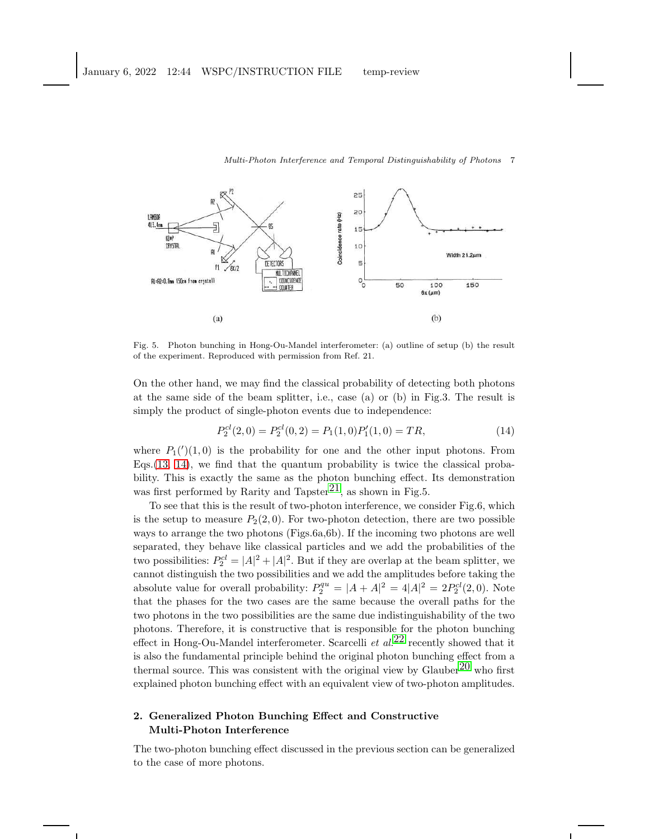#### 25 20 LAMBOR Coincidence rate (Hz)  $413.4<sub>0</sub>$ 뒤  $15$ KDEF CRYSTAL 10 Width  $21.2 \mu m$ 5 **DETECTORS**  $P1$  $\sqrt{81/2}$ **WILTTEHANEL**  $\circ_{\circ}^{\mathsf{L}}$ Al=A7=0.8am [SOcm from crystal] COINCIDENCE 50 100 150 COUNTER  $6x \, (\mu m)$  $(a)$  $(b)$

#### Fig. 5. Photon bunching in Hong-Ou-Mandel interferometer: (a) outline of setup (b) the result of the experiment. Reproduced with permission from Ref. 21.

On the other hand, we may find the classical probability of detecting both photons at the same side of the beam splitter, i.e., case (a) or (b) in Fig.3. The result is simply the product of single-photon events due to independence:

<span id="page-6-0"></span>
$$
P_2^{cl}(2,0) = P_2^{cl}(0,2) = P_1(1,0)P_1'(1,0) = TR,
$$
\n(14)

where  $P_1(')(1,0)$  is the probability for one and the other input photons. From Eqs.  $(13, 14)$  $(13, 14)$ , we find that the quantum probability is twice the classical probability. This is exactly the same as the photon bunching effect. Its demonstration was first performed by Rarity and Tapster<sup>21</sup>, as shown in Fig.5.

To see that this is the result of two-photon interference, we consider Fig.6, which is the setup to measure  $P_2(2, 0)$ . For two-photon detection, there are two possible ways to arrange the two photons (Figs.6a,6b). If the incoming two photons are well separated, they behave like classical particles and we add the probabilities of the two possibilities:  $P_2^{cl} = |A|^2 + |A|^2$ . But if they are overlap at the beam splitter, we cannot distinguish the two possibilities and we add the amplitudes before taking the absolute value for overall probability:  $P_2^{qu} = |A + A|^2 = 4|A|^2 = 2P_2^{cl}(2,0)$ . Note that the phases for the two cases are the same because the overall paths for the two photons in the two possibilities are the same due indistinguishability of the two photons. Therefore, it is constructive that is responsible for the photon bunching effect in Hong-Ou-Mandel interferometer. Scarcelli et  $al$ <sup>[22](#page-24-7)</sup> recently showed that it is also the fundamental principle behind the original photon bunching effect from a thermal source. This was consistent with the original view by Glauber<sup>[20](#page-24-5)</sup> who first explained photon bunching effect with an equivalent view of two-photon amplitudes.

### 2. Generalized Photon Bunching Effect and Constructive Multi-Photon Interference

The two-photon bunching effect discussed in the previous section can be generalized to the case of more photons.

# Multi-Photon Interference and Temporal Distinguishability of Photons 7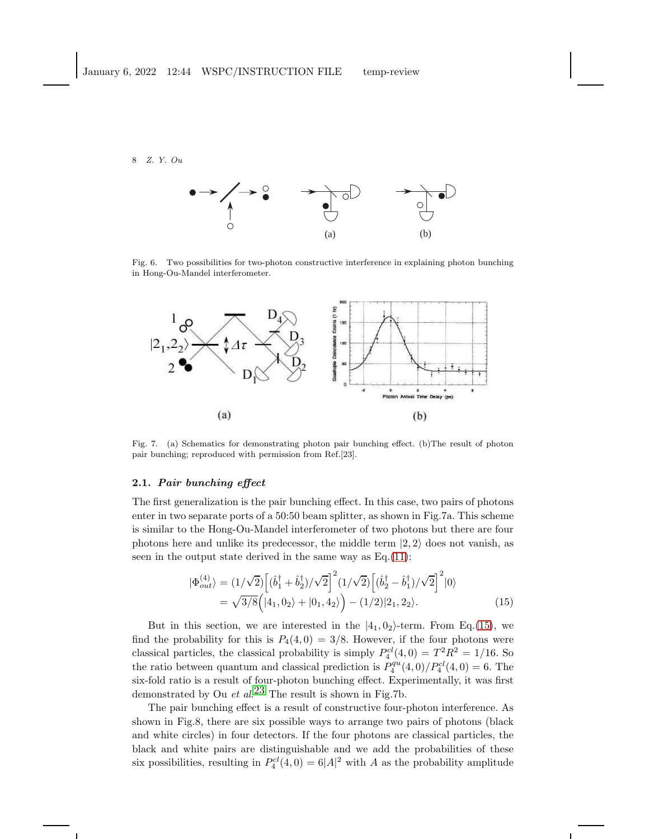

Fig. 6. Two possibilities for two-photon constructive interference in explaining photon bunching in Hong-Ou-Mandel interferometer.



Fig. 7. (a) Schematics for demonstrating photon pair bunching effect. (b)The result of photon pair bunching; reproduced with permission from Ref.[23].

### 2.1. Pair bunching effect

The first generalization is the pair bunching effect. In this case, two pairs of photons enter in two separate ports of a 50:50 beam splitter, as shown in Fig.7a. This scheme is similar to the Hong-Ou-Mandel interferometer of two photons but there are four photons here and unlike its predecessor, the middle term  $|2, 2\rangle$  does not vanish, as seen in the output state derived in the same way as  $Eq.(11)$  $Eq.(11)$ :

<span id="page-7-0"></span>
$$
|\Phi_{out}^{(4)}\rangle = (1/\sqrt{2}) \left[ (\hat{b}_1^{\dagger} + \hat{b}_2^{\dagger})/\sqrt{2} \right]^2 (1/\sqrt{2}) \left[ (\hat{b}_2^{\dagger} - \hat{b}_1^{\dagger})/\sqrt{2} \right]^2 |0\rangle
$$
  
=  $\sqrt{3/8} \Big( |4_1, 0_2\rangle + |0_1, 4_2\rangle \Big) - (1/2)|2_1, 2_2\rangle.$  (15)

But in this section, we are interested in the  $|4_1, 0_2\rangle$ -term. From Eq.[\(15\)](#page-7-0), we find the probability for this is  $P_4(4,0) = 3/8$ . However, if the four photons were classical particles, the classical probability is simply  $P_4^{cl}(4,0) = T^2 R^2 = 1/16$ . So the ratio between quantum and classical prediction is  $P_4^{qu}(4,0)/P_4^{cl}(4,0) = 6$ . The six-fold ratio is a result of four-photon bunching effect. Experimentally, it was first demonstrated by Ou et al.<sup>[23](#page-24-8)</sup> The result is shown in Fig.7b.

The pair bunching effect is a result of constructive four-photon interference. As shown in Fig.8, there are six possible ways to arrange two pairs of photons (black and white circles) in four detectors. If the four photons are classical particles, the black and white pairs are distinguishable and we add the probabilities of these six possibilities, resulting in  $P_4^{cl}(4,0) = 6|A|^2$  with A as the probability amplitude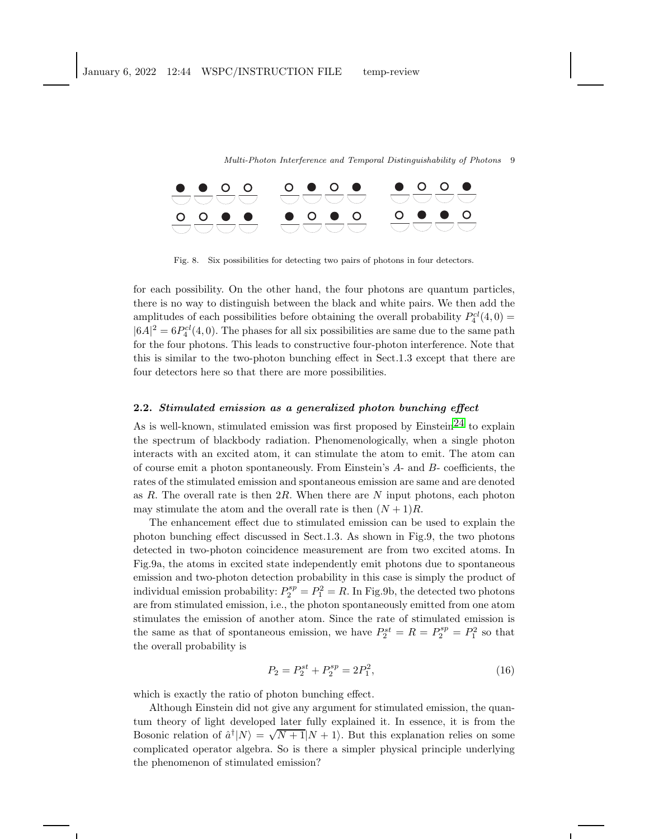

Fig. 8. Six possibilities for detecting two pairs of photons in four detectors.

for each possibility. On the other hand, the four photons are quantum particles, there is no way to distinguish between the black and white pairs. We then add the amplitudes of each possibilities before obtaining the overall probability  $P_4^{cl}(4,0)$  =  $|6A|^2 = 6P_4^{cl}(4,0)$ . The phases for all six possibilities are same due to the same path for the four photons. This leads to constructive four-photon interference. Note that this is similar to the two-photon bunching effect in Sect.1.3 except that there are four detectors here so that there are more possibilities.

### 2.2. Stimulated emission as a generalized photon bunching effect

As is well-known, stimulated emission was first proposed by  $Einstein<sup>24</sup>$  to explain the spectrum of blackbody radiation. Phenomenologically, when a single photon interacts with an excited atom, it can stimulate the atom to emit. The atom can of course emit a photon spontaneously. From Einstein's A- and B- coefficients, the rates of the stimulated emission and spontaneous emission are same and are denoted as R. The overall rate is then  $2R$ . When there are N input photons, each photon may stimulate the atom and the overall rate is then  $(N + 1)R$ .

The enhancement effect due to stimulated emission can be used to explain the photon bunching effect discussed in Sect.1.3. As shown in Fig.9, the two photons detected in two-photon coincidence measurement are from two excited atoms. In Fig.9a, the atoms in excited state independently emit photons due to spontaneous emission and two-photon detection probability in this case is simply the product of individual emission probability:  $P_2^{sp} = P_1^2 = R$ . In Fig.9b, the detected two photons are from stimulated emission, i.e., the photon spontaneously emitted from one atom stimulates the emission of another atom. Since the rate of stimulated emission is the same as that of spontaneous emission, we have  $P_2^{st} = R = P_2^{sp} = P_1^2$  so that the overall probability is

$$
P_2 = P_2^{st} + P_2^{sp} = 2P_1^2,\tag{16}
$$

which is exactly the ratio of photon bunching effect.

Although Einstein did not give any argument for stimulated emission, the quantum theory of light developed later fully explained it. In essence, it is from the Bosonic relation of  $\hat{a}^{\dagger} | N \rangle = \sqrt{N+1} | N + 1 \rangle$ . But this explanation relies on some complicated operator algebra. So is there a simpler physical principle underlying the phenomenon of stimulated emission?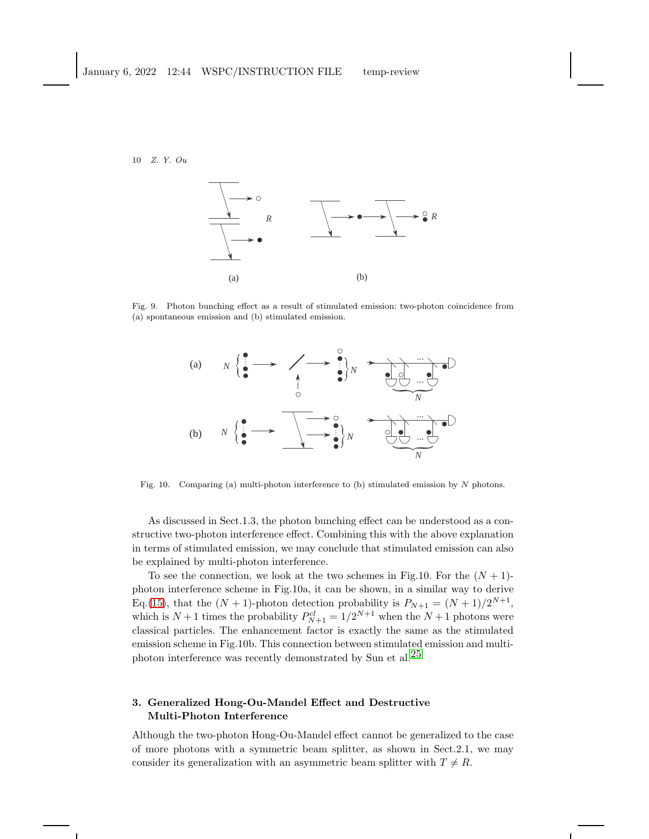

Fig. 9. Photon bunching effect as a result of stimulated emission: two-photon coincidence from (a) spontaneous emission and (b) stimulated emission.



Fig. 10. Comparing (a) multi-photon interference to (b) stimulated emission by N photons.

As discussed in Sect.1.3, the photon bunching effect can be understood as a constructive two-photon interference effect. Combining this with the above explanation in terms of stimulated emission, we may conclude that stimulated emission can also be explained by multi-photon interference.

To see the connection, we look at the two schemes in Fig.10. For the  $(N + 1)$ photon interference scheme in Fig.10a, it can be shown, in a similar way to derive Eq.[\(15\)](#page-7-0), that the  $(N + 1)$ -photon detection probability is  $P_{N+1} = (N + 1)/2^{N+1}$ , which is  $N+1$  times the probability  $P_{N+1}^{cl} = 1/2^{N+1}$  when the  $N+1$  photons were classical particles. The enhancement factor is exactly the same as the stimulated emission scheme in Fig.10b. This connection between stimulated emission and multi-photon interference was recently demonstrated by Sun et al.<sup>[25](#page-24-10)</sup>

### 3. Generalized Hong-Ou-Mandel Effect and Destructive Multi-Photon Interference

Although the two-photon Hong-Ou-Mandel effect cannot be generalized to the case of more photons with a symmetric beam splitter, as shown in Sect.2.1, we may consider its generalization with an asymmetric beam splitter with  $T \neq R$ .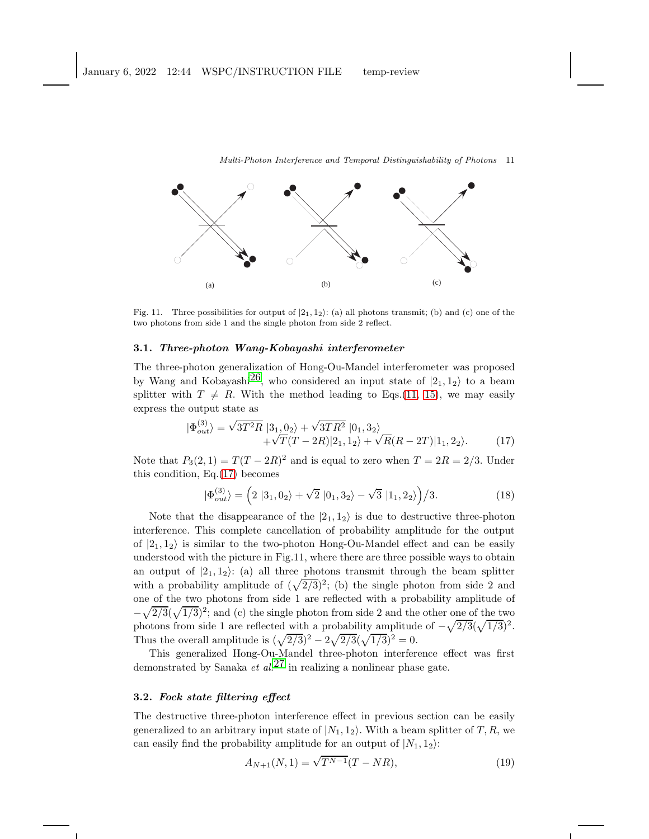

Fig. 11. Three possibilities for output of  $|2_1, 1_2\rangle$ : (a) all photons transmit; (b) and (c) one of the two photons from side 1 and the single photon from side 2 reflect.

#### 3.1. Three-photon Wang-Kobayashi interferometer

The three-photon generalization of Hong-Ou-Mandel interferometer was proposed by Wang and Kobayashi<sup>26</sup>, who considered an input state of  $|2_1, 1_2\rangle$  to a beam splitter with  $T \neq R$ . With the method leading to Eqs.[\(11,](#page-4-2) [15\)](#page-7-0), we may easily express the output state as

<span id="page-10-0"></span>
$$
|\Phi_{out}^{(3)}\rangle = \sqrt{3T^2R} |3_1, 0_2\rangle + \sqrt{3TR^2} |0_1, 3_2\rangle + \sqrt{T}(T - 2R)|2_1, 1_2\rangle + \sqrt{R}(R - 2T)|1_1, 2_2\rangle.
$$
 (17)

Note that  $P_3(2,1) = T(T - 2R)^2$  and is equal to zero when  $T = 2R = 2/3$ . Under this condition, Eq.[\(17\)](#page-10-0) becomes

<span id="page-10-2"></span>
$$
|\Phi_{out}^{(3)}\rangle = (2 |3_1, 0_2\rangle + \sqrt{2} |0_1, 3_2\rangle - \sqrt{3} |1_1, 2_2\rangle)/3.
$$
 (18)

Note that the disappearance of the  $|2_1, 1_2\rangle$  is due to destructive three-photon interference. This complete cancellation of probability amplitude for the output of  $|2_1, 1_2\rangle$  is similar to the two-photon Hong-Ou-Mandel effect and can be easily understood with the picture in Fig.11, where there are three possible ways to obtain an output of  $|2_1, 1_2\rangle$ : (a) all three photons transmit through the beam splitter with a probability amplitude of  $(\sqrt{2/3})^2$ ; (b) the single photon from side 2 and one of the two photons from side 1 are reflected with a probability amplitude of  $-\sqrt{2/3}(\sqrt{1/3})^2$ ; and (c) the single photon from side 2 and the other one of the two photons from side 1 are reflected with a probability amplitude of  $-\sqrt{2/3}(\sqrt{1/3})^2$ . Thus the overall amplitude is  $(\sqrt{2/3})^2 - 2\sqrt{2/3}(\sqrt{1/3})^2 = 0$ .

This generalized Hong-Ou-Mandel three-photon interference effect was first demonstrated by Sanaka *et al.*<sup>[27](#page-24-12)</sup> in realizing a nonlinear phase gate.

### 3.2. Fock state filtering effect

The destructive three-photon interference effect in previous section can be easily generalized to an arbitrary input state of  $|N_1, 1_2\rangle$ . With a beam splitter of T, R, we can easily find the probability amplitude for an output of  $|N_1, 1_2\rangle$ :

<span id="page-10-1"></span>
$$
A_{N+1}(N,1) = \sqrt{T^{N-1}}(T - NR),\tag{19}
$$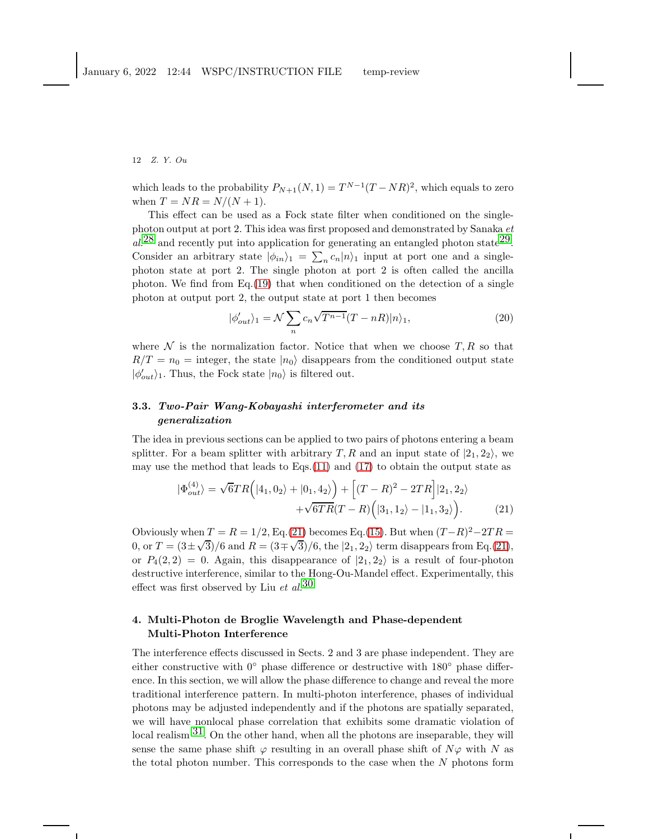which leads to the probability  $P_{N+1}(N, 1) = T^{N-1}(T - NR)^2$ , which equals to zero when  $T = NR = N/(N + 1)$ .

This effect can be used as a Fock state filter when conditioned on the singlephoton output at port 2. This idea was first proposed and demonstrated by Sanaka et  $al^{28}$  $al^{28}$  $al^{28}$  and recently put into application for generating an entangled photon state<sup>29</sup>. Consider an arbitrary state  $|\phi_{in}\rangle_1 = \sum_n c_n |n\rangle_1$  input at port one and a singlephoton state at port 2. The single photon at port 2 is often called the ancilla photon. We find from Eq.[\(19\)](#page-10-1) that when conditioned on the detection of a single photon at output port 2, the output state at port 1 then becomes

$$
|\phi_{out}'\rangle_1 = \mathcal{N} \sum_{n} c_n \sqrt{T^{n-1}} (T - nR)|n\rangle_1, \tag{20}
$$

where  $\mathcal N$  is the normalization factor. Notice that when we choose  $T, R$  so that  $R/T = n_0$  = integer, the state  $|n_0\rangle$  disappears from the conditioned output state  $|\phi'_{out}\rangle_1$ . Thus, the Fock state  $|n_0\rangle$  is filtered out.

### 3.3. Two-Pair Wang-Kobayashi interferometer and its generalization

The idea in previous sections can be applied to two pairs of photons entering a beam splitter. For a beam splitter with arbitrary T, R and an input state of  $|2_1, 2_2\rangle$ , we may use the method that leads to Eqs.[\(11\)](#page-4-2) and [\(17\)](#page-10-0) to obtain the output state as

<span id="page-11-0"></span>
$$
|\Phi_{out}^{(4)}\rangle = \sqrt{6}TR \Big( |4_1, 0_2\rangle + |0_1, 4_2\rangle \Big) + \Big[ (T - R)^2 - 2TR \Big] |2_1, 2_2\rangle + \sqrt{6}TR (T - R) \Big( |3_1, 1_2\rangle - |1_1, 3_2\rangle \Big). \tag{21}
$$

Obviously when  $T = R = 1/2$ , Eq.[\(21\)](#page-11-0) becomes Eq.[\(15\)](#page-7-0). But when  $(T-R)^2 - 2TR =$ 0, or  $T = (3 \pm \sqrt{3})/6$  and  $R = (3 \mp \sqrt{3})/6$ , the  $|2_1, 2_2\rangle$  term disappears from Eq.[\(21\)](#page-11-0), or  $P_4(2, 2) = 0$ . Again, this disappearance of  $|2_1, 2_2\rangle$  is a result of four-photon destructive interference, similar to the Hong-Ou-Mandel effect. Experimentally, this effect was first observed by Liu et  $al$ .<sup>[30](#page-24-15)</sup>

### 4. Multi-Photon de Broglie Wavelength and Phase-dependent Multi-Photon Interference

The interference effects discussed in Sects. 2 and 3 are phase independent. They are either constructive with  $0°$  phase difference or destructive with  $180°$  phase difference. In this section, we will allow the phase difference to change and reveal the more traditional interference pattern. In multi-photon interference, phases of individual photons may be adjusted independently and if the photons are spatially separated, we will have nonlocal phase correlation that exhibits some dramatic violation of local realism  $31$ . On the other hand, when all the photons are inseparable, they will sense the same phase shift  $\varphi$  resulting in an overall phase shift of  $N\varphi$  with N as the total photon number. This corresponds to the case when the  $N$  photons form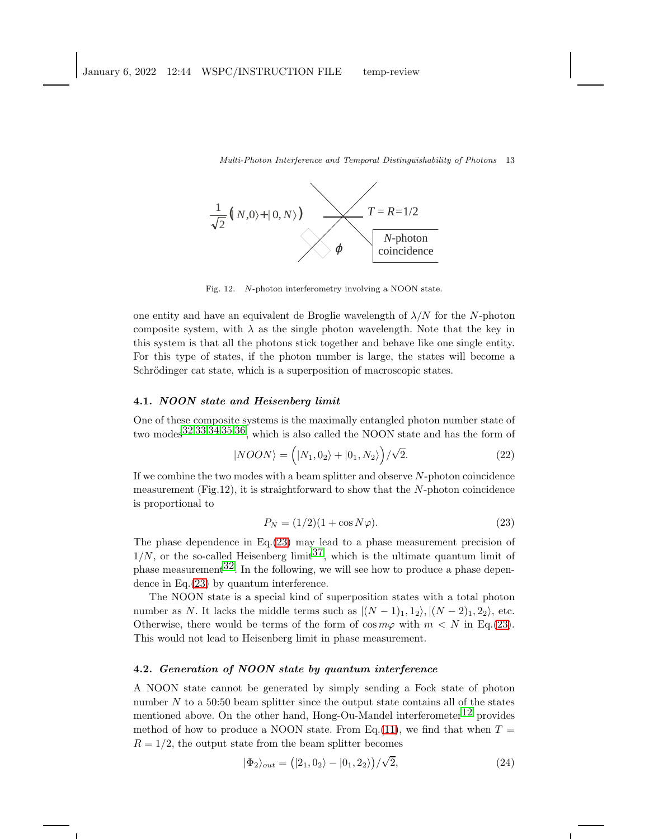

Fig. 12. N-photon interferometry involving a NOON state.

one entity and have an equivalent de Broglie wavelength of  $\lambda/N$  for the N-photon composite system, with  $\lambda$  as the single photon wavelength. Note that the key in this system is that all the photons stick together and behave like one single entity. For this type of states, if the photon number is large, the states will become a Schrödinger cat state, which is a superposition of macroscopic states.

### 4.1. NOON state and Heisenberg limit

One of these composite systems is the maximally entangled photon number state of two modes[32](#page-24-17),[33](#page-24-18),[34](#page-24-19),[35](#page-24-20),[36,](#page-24-21) which is also called the NOON state and has the form of

$$
|NOON\rangle = (|N_1, 0_2\rangle + |0_1, N_2\rangle)/\sqrt{2}.
$$
 (22)

If we combine the two modes with a beam splitter and observe  $N$ -photon coincidence measurement (Fig.12), it is straightforward to show that the  $N$ -photon coincidence is proportional to

<span id="page-12-0"></span>
$$
P_N = (1/2)(1 + \cos N\varphi). \tag{23}
$$

The phase dependence in Eq.[\(23\)](#page-12-0) may lead to a phase measurement precision of  $1/N$ , or the so-called Heisenberg limit<sup>37</sup>, which is the ultimate quantum limit of phase measurement  $32$ . In the following, we will see how to produce a phase dependence in Eq.[\(23\)](#page-12-0) by quantum interference.

The NOON state is a special kind of superposition states with a total photon number as N. It lacks the middle terms such as  $|(N-1)_1, 1_2\rangle, |(N-2)_1, 2_2\rangle$ , etc. Otherwise, there would be terms of the form of  $\cos m\varphi$  with  $m < N$  in Eq.[\(23\)](#page-12-0). This would not lead to Heisenberg limit in phase measurement.

### 4.2. Generation of NOON state by quantum interference

A NOON state cannot be generated by simply sending a Fock state of photon number  $N$  to a 50:50 beam splitter since the output state contains all of the states mentioned above. On the other hand, Hong-Ou-Mandel interferometer<sup>[12](#page-23-11)</sup> provides method of how to produce a NOON state. From Eq.[\(11\)](#page-4-2), we find that when  $T =$  $R = 1/2$ , the output state from the beam splitter becomes

$$
|\Phi_2\rangle_{out} = (|2_1, 0_2\rangle - |0_1, 2_2\rangle)/\sqrt{2},\tag{24}
$$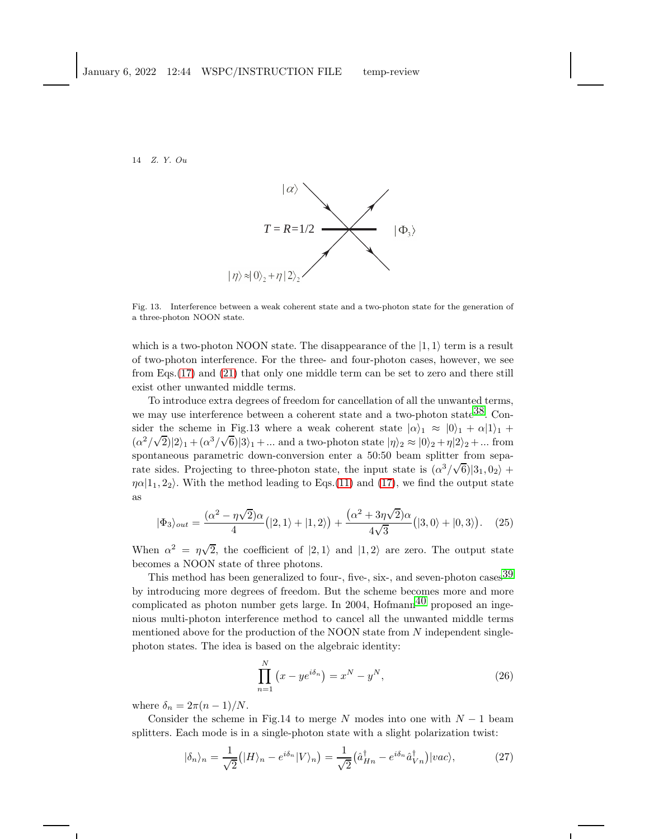

Fig. 13. Interference between a weak coherent state and a two-photon state for the generation of a three-photon NOON state.

which is a two-photon NOON state. The disappearance of the  $|1,1\rangle$  term is a result of two-photon interference. For the three- and four-photon cases, however, we see from Eqs.[\(17\)](#page-10-0) and [\(21\)](#page-11-0) that only one middle term can be set to zero and there still exist other unwanted middle terms.

To introduce extra degrees of freedom for cancellation of all the unwanted terms, we may use interference between a coherent state and a two-photon state<sup>38</sup>. Consider the scheme in Fig.13 where a weak coherent state  $|\alpha\rangle_1 \approx |0\rangle_1 + |\alpha|1\rangle_1 +$  $(\alpha^2/\sqrt{2})|2\rangle_1 + (\alpha^3/\sqrt{6})|3\rangle_1 + ...$  and a two-photon state  $|\eta\rangle_2 \approx |0\rangle_2 + \eta|2\rangle_2 + ...$  from spontaneous parametric down-conversion enter a 50:50 beam splitter from separate sides. Projecting to three-photon state, the input state is  $(\alpha^3/\sqrt{6})|3_1,0_2\rangle +$  $\eta \alpha | 1_1, 2_2 \rangle$ . With the method leading to Eqs.[\(11\)](#page-4-2) and [\(17\)](#page-10-0), we find the output state as

$$
|\Phi_3\rangle_{out} = \frac{(\alpha^2 - \eta\sqrt{2})\alpha}{4} (|2,1\rangle + |1,2\rangle) + \frac{(\alpha^2 + 3\eta\sqrt{2})\alpha}{4\sqrt{3}} (|3,0\rangle + |0,3\rangle). \quad (25)
$$

When  $\alpha^2 = \eta \sqrt{2}$ , the coefficient of  $|2,1\rangle$  and  $|1,2\rangle$  are zero. The output state becomes a NOON state of three photons.

This method has been generalized to four-, five-, six-, and seven-photon cases<sup>[39](#page-24-24)</sup> by introducing more degrees of freedom. But the scheme becomes more and more complicated as photon number gets large. In 2004,  $Hofmann<sup>40</sup>$  proposed an ingenious multi-photon interference method to cancel all the unwanted middle terms mentioned above for the production of the NOON state from  $N$  independent singlephoton states. The idea is based on the algebraic identity:

<span id="page-13-0"></span>
$$
\prod_{n=1}^{N} \left( x - y e^{i\delta_n} \right) = x^N - y^N,
$$
\n(26)

where  $\delta_n = 2\pi (n-1)/N$ .

Consider the scheme in Fig.14 to merge N modes into one with  $N-1$  beam splitters. Each mode is in a single-photon state with a slight polarization twist:

$$
|\delta_n\rangle_n = \frac{1}{\sqrt{2}} \left( |H\rangle_n - e^{i\delta_n} |V\rangle_n \right) = \frac{1}{\sqrt{2}} \left( \hat{a}_{Hn}^\dagger - e^{i\delta_n} \hat{a}_{Vn}^\dagger \right) |vac\rangle, \tag{27}
$$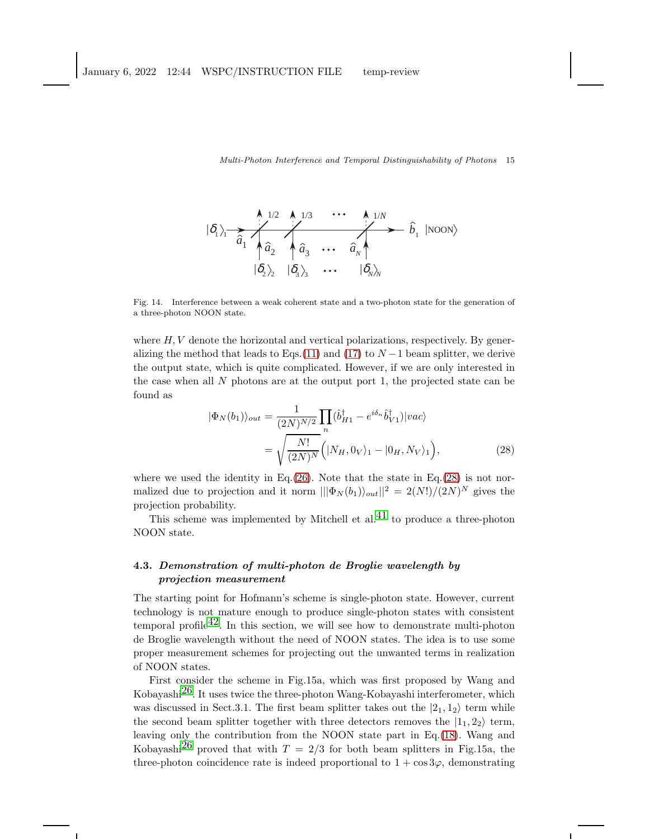$$
\begin{array}{ccc}\n\left\langle \delta_{1}\right\rangle_{1} & \lambda_{1/2} & \lambda_{1/3} & \cdots & \lambda_{1/N} \\
\hline\n\hat{a}_{1} & \hat{a}_{2} & \hat{a}_{3} & \cdots & \hat{a}_{N} \\
\hline\n\langle \delta_{2}\rangle_{2} & \langle \delta_{3}\rangle_{3} & \cdots & \langle \delta_{N}\rangle_{N}\n\end{array}
$$
 (NoON)

Fig. 14. Interference between a weak coherent state and a two-photon state for the generation of a three-photon NOON state.

where  $H, V$  denote the horizontal and vertical polarizations, respectively. By gener-alizing the method that leads to Eqs.[\(11\)](#page-4-2) and [\(17\)](#page-10-0) to  $N-1$  beam splitter, we derive the output state, which is quite complicated. However, if we are only interested in the case when all  $N$  photons are at the output port 1, the projected state can be found as

<span id="page-14-0"></span>
$$
|\Phi_N(b_1)\rangle_{out} = \frac{1}{(2N)^{N/2}} \prod_n (\hat{b}_{H1}^\dagger - e^{i\delta_n} \hat{b}_{V1}^\dagger)|vac\rangle
$$

$$
= \sqrt{\frac{N!}{(2N)^N}} \Big( |N_H, 0_V\rangle_1 - |0_H, N_V\rangle_1 \Big), \tag{28}
$$

where we used the identity in Eq.[\(26\)](#page-13-0). Note that the state in Eq.[\(28\)](#page-14-0) is not normalized due to projection and it norm  $\|\Phi_N(b_1)\rangle_{out}\|^2 = 2(N!)/(2N)^N$  gives the projection probability.

This scheme was implemented by Mitchell et al.<sup>[41](#page-24-26)</sup> to produce a three-photon NOON state.

### 4.3. Demonstration of multi-photon de Broglie wavelength by projection measurement

The starting point for Hofmann's scheme is single-photon state. However, current technology is not mature enough to produce single-photon states with consistent temporal profile<sup>42</sup>. In this section, we will see how to demonstrate multi-photon de Broglie wavelength without the need of NOON states. The idea is to use some proper measurement schemes for projecting out the unwanted terms in realization of NOON states.

First consider the scheme in Fig.15a, which was first proposed by Wang and Kobayashi[26.](#page-24-11) It uses twice the three-photon Wang-Kobayashi interferometer, which was discussed in Sect.3.1. The first beam splitter takes out the  $|2_1, 1_2\rangle$  term while the second beam splitter together with three detectors removes the  $|1_1, 2_2\rangle$  term, leaving only the contribution from the NOON state part in Eq.[\(18\)](#page-10-2). Wang and Kobayashi<sup>[26](#page-24-11)</sup> proved that with  $T = 2/3$  for both beam splitters in Fig.15a, the three-photon coincidence rate is indeed proportional to  $1 + \cos 3\varphi$ , demonstrating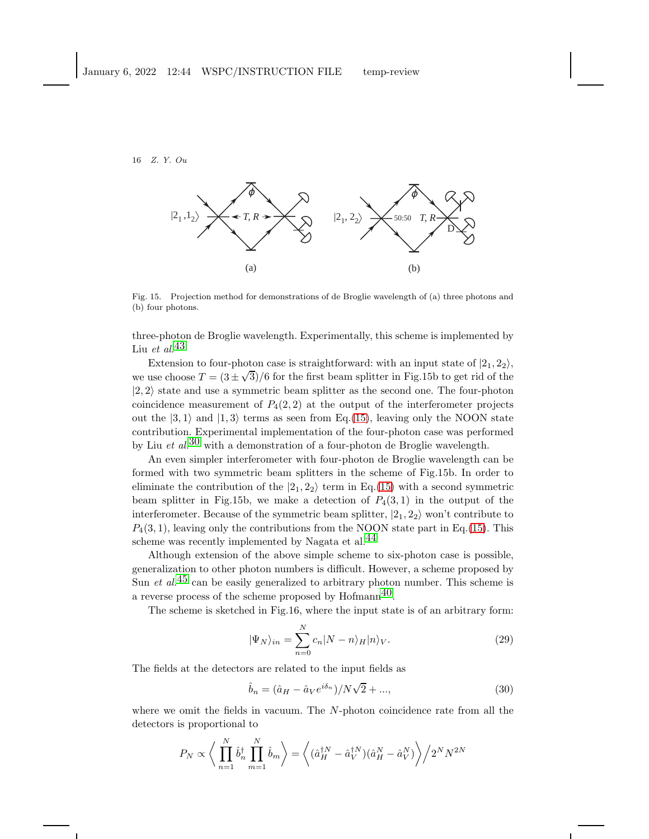

Fig. 15. Projection method for demonstrations of de Broglie wavelength of (a) three photons and (b) four photons.

three-photon de Broglie wavelength. Experimentally, this scheme is implemented by Liu et al. $43$ 

Extension to four-photon case is straightforward: with an input state of  $|2_1, 2_2\rangle$ , we use choose  $T = (3 \pm \sqrt{3})/6$  for the first beam splitter in Fig.15b to get rid of the  $|2, 2\rangle$  state and use a symmetric beam splitter as the second one. The four-photon coincidence measurement of  $P_4(2, 2)$  at the output of the interferometer projects out the  $|3,1\rangle$  and  $|1,3\rangle$  terms as seen from Eq.[\(15\)](#page-7-0), leaving only the NOON state contribution. Experimental implementation of the four-photon case was performed by Liu et  $al$ <sup>[30](#page-24-15)</sup> with a demonstration of a four-photon de Broglie wavelength.

An even simpler interferometer with four-photon de Broglie wavelength can be formed with two symmetric beam splitters in the scheme of Fig.15b. In order to eliminate the contribution of the  $|2_1, 2_2\rangle$  term in Eq.[\(15\)](#page-7-0) with a second symmetric beam splitter in Fig.15b, we make a detection of  $P_4(3,1)$  in the output of the interferometer. Because of the symmetric beam splitter,  $|2_1, 2_2\rangle$  won't contribute to  $P_4(3, 1)$ , leaving only the contributions from the NOON state part in Eq.[\(15\)](#page-7-0). This scheme was recently implemented by Nagata et al. $^{44}$  $^{44}$  $^{44}$ 

Although extension of the above simple scheme to six-photon case is possible, generalization to other photon numbers is difficult. However, a scheme proposed by Sun *et al.*<sup>[45](#page-24-30)</sup> can be easily generalized to arbitrary photon number. This scheme is a reverse process of the scheme proposed by  $H\text{of} \text{mann}^{40}$ .

The scheme is sketched in Fig.16, where the input state is of an arbitrary form:

$$
|\Psi_N\rangle_{in} = \sum_{n=0}^{N} c_n |N - n\rangle_H |n\rangle_V.
$$
 (29)

The fields at the detectors are related to the input fields as

$$
\hat{b}_n = (\hat{a}_H - \hat{a}_V e^{i\delta_n})/N\sqrt{2} + ..., \qquad (30)
$$

where we omit the fields in vacuum. The N-photon coincidence rate from all the detectors is proportional to

<span id="page-15-0"></span>
$$
P_N \propto \left\langle \prod_{n=1}^N \hat{b}_n^\dagger \prod_{m=1}^N \hat{b}_m \right\rangle = \left\langle (\hat{a}_H^{\dagger N} - \hat{a}_V^{\dagger N})(\hat{a}_H^N - \hat{a}_V^N) \right\rangle / 2^N N^{2N}
$$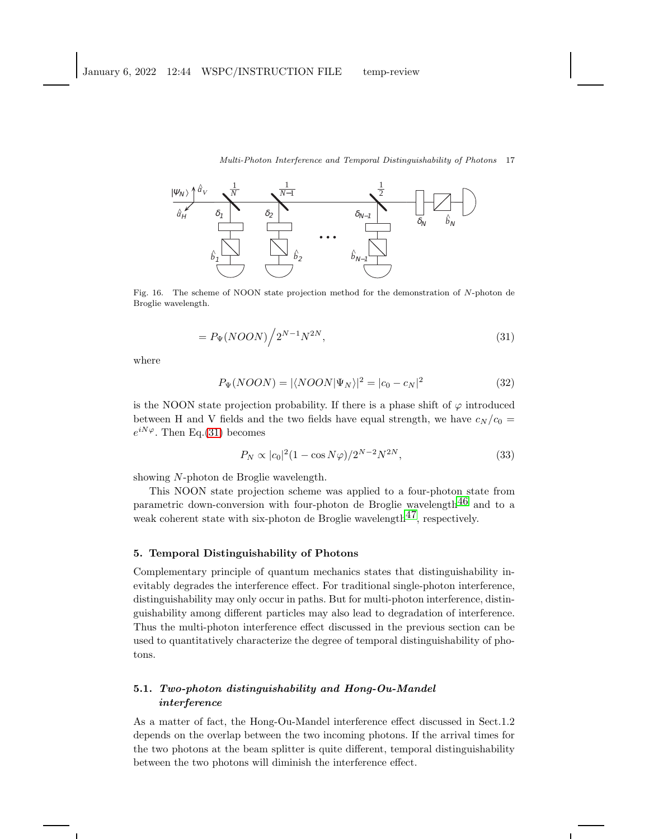

Fig. 16. The scheme of NOON state projection method for the demonstration of N-photon de Broglie wavelength.

$$
=P_{\Psi}(NOON)\Big/2^{N-1}N^{2N},\tag{31}
$$

where

<span id="page-16-0"></span>
$$
P_{\Psi}(NOON) = |\langle NOON | \Psi_N \rangle|^2 = |c_0 - c_N|^2 \tag{32}
$$

is the NOON state projection probability. If there is a phase shift of  $\varphi$  introduced between H and V fields and the two fields have equal strength, we have  $c_N / c_0$  =  $e^{iN\varphi}$ . Then Eq.[\(31\)](#page-15-0) becomes

$$
P_N \propto |c_0|^2 (1 - \cos N\varphi)/2^{N-2} N^{2N},\tag{33}
$$

showing N-photon de Broglie wavelength.

This NOON state projection scheme was applied to a four-photon state from parametric down-conversion with four-photon de Broglie wavelength<sup>46</sup> and to a weak coherent state with six-photon de Broglie wavelength $^{47}$ , respectively.

### 5. Temporal Distinguishability of Photons

Complementary principle of quantum mechanics states that distinguishability inevitably degrades the interference effect. For traditional single-photon interference, distinguishability may only occur in paths. But for multi-photon interference, distinguishability among different particles may also lead to degradation of interference. Thus the multi-photon interference effect discussed in the previous section can be used to quantitatively characterize the degree of temporal distinguishability of photons.

### 5.1. Two-photon distinguishability and Hong-Ou-Mandel interference

As a matter of fact, the Hong-Ou-Mandel interference effect discussed in Sect.1.2 depends on the overlap between the two incoming photons. If the arrival times for the two photons at the beam splitter is quite different, temporal distinguishability between the two photons will diminish the interference effect.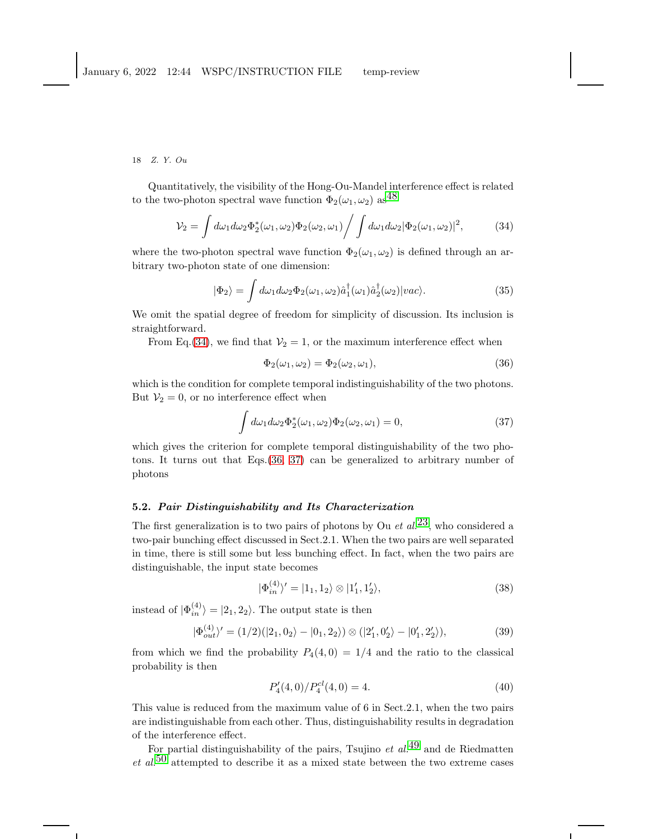Quantitatively, the visibility of the Hong-Ou-Mandel interference effect is related to the two-photon spectral wave function  $\Phi_2(\omega_1, \omega_2)$  as<sup>[48](#page-24-33)</sup>

<span id="page-17-0"></span>
$$
\mathcal{V}_2 = \int d\omega_1 d\omega_2 \Phi_2^*(\omega_1, \omega_2) \Phi_2(\omega_2, \omega_1) / \int d\omega_1 d\omega_2 |\Phi_2(\omega_1, \omega_2)|^2, \tag{34}
$$

where the two-photon spectral wave function  $\Phi_2(\omega_1, \omega_2)$  is defined through an arbitrary two-photon state of one dimension:

<span id="page-17-3"></span>
$$
|\Phi_2\rangle = \int d\omega_1 d\omega_2 \Phi_2(\omega_1, \omega_2) \hat{a}_1^\dagger(\omega_1) \hat{a}_2^\dagger(\omega_2) |vac\rangle.
$$
 (35)

We omit the spatial degree of freedom for simplicity of discussion. Its inclusion is straightforward.

From Eq.[\(34\)](#page-17-0), we find that  $V_2 = 1$ , or the maximum interference effect when

<span id="page-17-1"></span>
$$
\Phi_2(\omega_1, \omega_2) = \Phi_2(\omega_2, \omega_1),\tag{36}
$$

which is the condition for complete temporal indistinguishability of the two photons. But  $V_2 = 0$ , or no interference effect when

<span id="page-17-2"></span>
$$
\int d\omega_1 d\omega_2 \Phi_2^*(\omega_1, \omega_2) \Phi_2(\omega_2, \omega_1) = 0,
$$
\n(37)

which gives the criterion for complete temporal distinguishability of the two photons. It turns out that Eqs.[\(36,](#page-17-1) [37\)](#page-17-2) can be generalized to arbitrary number of photons

### 5.2. Pair Distinguishability and Its Characterization

The first generalization is to two pairs of photons by Ou *et al.*<sup>23</sup>, who considered a two-pair bunching effect discussed in Sect.2.1. When the two pairs are well separated in time, there is still some but less bunching effect. In fact, when the two pairs are distinguishable, the input state becomes

$$
|\Phi_{in}^{(4)}\rangle'=|1_1,1_2\rangle\otimes|1'_1,1'_2\rangle,
$$
\n(38)

instead of  $|\Phi_{in}^{(4)}\rangle = |2_1, 2_2\rangle$ . The output state is then

$$
|\Phi_{out}^{(4)}\rangle' = (1/2)(|2_1, 0_2\rangle - |0_1, 2_2\rangle) \otimes (|2'_1, 0'_2\rangle - |0'_1, 2'_2\rangle),
$$
\n(39)

from which we find the probability  $P_4(4,0) = 1/4$  and the ratio to the classical probability is then

$$
P_4'(4,0)/P_4^{cl}(4,0) = 4.\t\t(40)
$$

This value is reduced from the maximum value of 6 in Sect.2.1, when the two pairs are indistinguishable from each other. Thus, distinguishability results in degradation of the interference effect.

For partial distinguishability of the pairs, Tsujino *et al.*<sup>[49](#page-24-34)</sup> and de Riedmatten et  $al$ <sup>[50](#page-25-0)</sup> attempted to describe it as a mixed state between the two extreme cases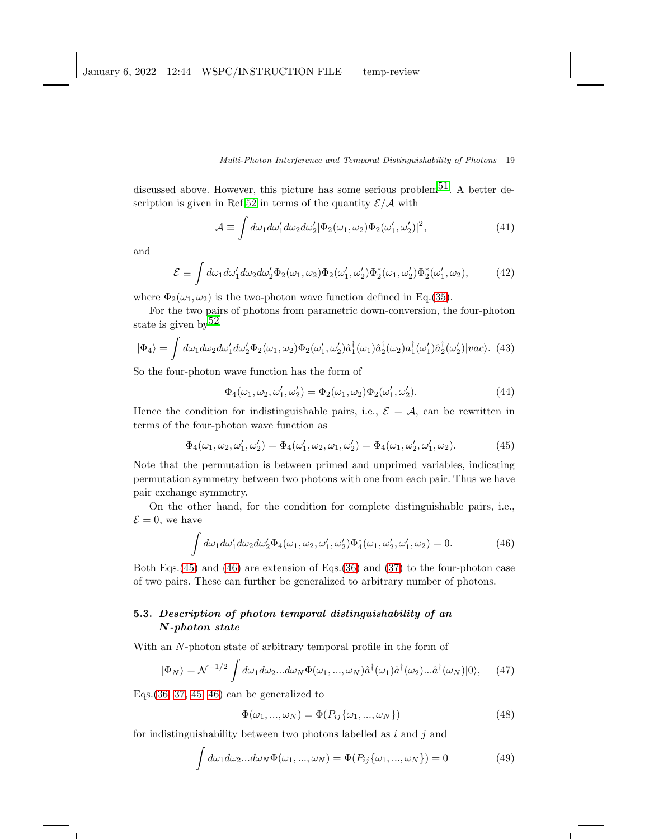discussed above. However, this picture has some serious problem<sup>51</sup>. A better de-scription is given in Ref[.52](#page-25-2) in terms of the quantity  $\mathcal{E}/\mathcal{A}$  with

$$
\mathcal{A} \equiv \int d\omega_1 d\omega'_1 d\omega_2 d\omega'_2 |\Phi_2(\omega_1, \omega_2) \Phi_2(\omega'_1, \omega'_2)|^2,
$$
\n(41)

and

$$
\mathcal{E} \equiv \int d\omega_1 d\omega_1' d\omega_2 d\omega_2' \Phi_2(\omega_1, \omega_2) \Phi_2(\omega_1', \omega_2') \Phi_2^*(\omega_1, \omega_2') \Phi_2^*(\omega_1', \omega_2),\tag{42}
$$

where  $\Phi_2(\omega_1, \omega_2)$  is the two-photon wave function defined in Eq.[\(35\)](#page-17-3).

For the two pairs of photons from parametric down-conversion, the four-photon state is given by  $52$ 

$$
|\Phi_4\rangle = \int d\omega_1 d\omega_2 d\omega'_1 d\omega'_2 \Phi_2(\omega_1, \omega_2) \Phi_2(\omega'_1, \omega'_2) \hat{a}_1^\dagger(\omega_1) \hat{a}_2^\dagger(\omega_2) a_1^\dagger(\omega'_1) \hat{a}_2^\dagger(\omega'_2)|vac\rangle. (43)
$$

So the four-photon wave function has the form of

$$
\Phi_4(\omega_1, \omega_2, \omega'_1, \omega'_2) = \Phi_2(\omega_1, \omega_2)\Phi_2(\omega'_1, \omega'_2). \tag{44}
$$

Hence the condition for indistinguishable pairs, i.e.,  $\mathcal{E} = \mathcal{A}$ , can be rewritten in terms of the four-photon wave function as

<span id="page-18-0"></span>
$$
\Phi_4(\omega_1, \omega_2, \omega'_1, \omega'_2) = \Phi_4(\omega'_1, \omega_2, \omega_1, \omega'_2) = \Phi_4(\omega_1, \omega'_2, \omega'_1, \omega_2). \tag{45}
$$

Note that the permutation is between primed and unprimed variables, indicating permutation symmetry between two photons with one from each pair. Thus we have pair exchange symmetry.

On the other hand, for the condition for complete distinguishable pairs, i.e.,  $\mathcal{E}=0$ , we have

<span id="page-18-1"></span>
$$
\int d\omega_1 d\omega'_1 d\omega_2 d\omega'_2 \Phi_4(\omega_1, \omega_2, \omega'_1, \omega'_2) \Phi_4^*(\omega_1, \omega'_2, \omega'_1, \omega_2) = 0.
$$
 (46)

Both Eqs.[\(45\)](#page-18-0) and [\(46\)](#page-18-1) are extension of Eqs.[\(36\)](#page-17-1) and [\(37\)](#page-17-2) to the four-photon case of two pairs. These can further be generalized to arbitrary number of photons.

### 5.3. Description of photon temporal distinguishability of an N-photon state

With an N-photon state of arbitrary temporal profile in the form of

<span id="page-18-3"></span>
$$
|\Phi_N\rangle = \mathcal{N}^{-1/2} \int d\omega_1 d\omega_2 ... d\omega_N \Phi(\omega_1, ..., \omega_N) \hat{a}^\dagger(\omega_1) \hat{a}^\dagger(\omega_2) ... \hat{a}^\dagger(\omega_N) |0\rangle, \quad (47)
$$

Eqs.[\(36,](#page-17-1) [37,](#page-17-2) [45,](#page-18-0) [46\)](#page-18-1) can be generalized to

<span id="page-18-2"></span>
$$
\Phi(\omega_1, \ldots, \omega_N) = \Phi(P_{ij}\{\omega_1, \ldots, \omega_N\})
$$
\n(48)

for indistinguishability between two photons labelled as  $i$  and  $j$  and

$$
\int d\omega_1 d\omega_2 \dots d\omega_N \Phi(\omega_1, \dots, \omega_N) = \Phi(P_{ij}\{\omega_1, \dots, \omega_N\}) = 0
$$
\n(49)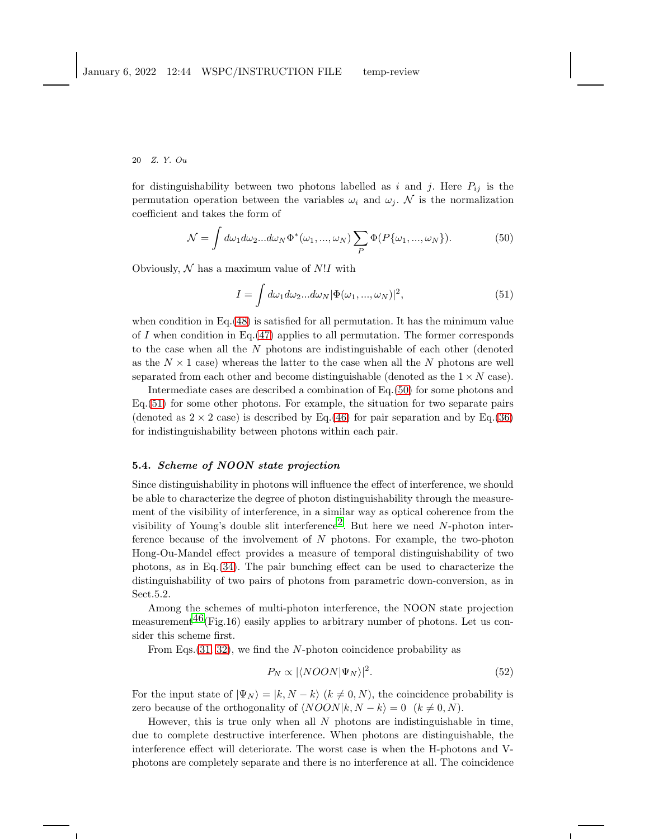for distinguishability between two photons labelled as i and j. Here  $P_{ij}$  is the permutation operation between the variables  $\omega_i$  and  $\omega_j$ . N is the normalization coefficient and takes the form of

<span id="page-19-0"></span>
$$
\mathcal{N} = \int d\omega_1 d\omega_2 ... d\omega_N \Phi^*(\omega_1, ..., \omega_N) \sum_P \Phi(P\{\omega_1, ..., \omega_N\}). \tag{50}
$$

Obviously,  $\mathcal N$  has a maximum value of  $N!I$  with

<span id="page-19-1"></span>
$$
I = \int d\omega_1 d\omega_2 ... d\omega_N |\Phi(\omega_1, ..., \omega_N)|^2,
$$
\n(51)

when condition in Eq.  $(48)$  is satisfied for all permutation. It has the minimum value of I when condition in Eq.  $(47)$  applies to all permutation. The former corresponds to the case when all the N photons are indistinguishable of each other (denoted as the  $N \times 1$  case) whereas the latter to the case when all the N photons are well separated from each other and become distinguishable (denoted as the  $1 \times N$  case).

Intermediate cases are described a combination of Eq.[\(50\)](#page-19-0) for some photons and Eq.[\(51\)](#page-19-1) for some other photons. For example, the situation for two separate pairs (denoted as  $2 \times 2$  case) is described by Eq.[\(46\)](#page-18-1) for pair separation and by Eq.[\(36\)](#page-17-1) for indistinguishability between photons within each pair.

### 5.4. Scheme of NOON state projection

Since distinguishability in photons will influence the effect of interference, we should be able to characterize the degree of photon distinguishability through the measurement of the visibility of interference, in a similar way as optical coherence from the visibility of Young's double slit interference<sup>2</sup>. But here we need N-photon interference because of the involvement of  $N$  photons. For example, the two-photon Hong-Ou-Mandel effect provides a measure of temporal distinguishability of two photons, as in Eq.[\(34\)](#page-17-0). The pair bunching effect can be used to characterize the distinguishability of two pairs of photons from parametric down-conversion, as in Sect.5.2.

Among the schemes of multi-photon interference, the NOON state projection measurement<sup>46</sup>(Fig.16) easily applies to arbitrary number of photons. Let us consider this scheme first.

From Eqs.[\(31,](#page-15-0) [32\)](#page-16-0), we find the N-photon coincidence probability as

$$
P_N \propto |\langle NOON|\Psi_N\rangle|^2. \tag{52}
$$

For the input state of  $|\Psi_N\rangle = |k, N - k\rangle$   $(k \neq 0, N)$ , the coincidence probability is zero because of the orthogonality of  $\langle NOON|k, N - k \rangle = 0 \ (k \neq 0, N)$ .

However, this is true only when all  $N$  photons are indistinguishable in time, due to complete destructive interference. When photons are distinguishable, the interference effect will deteriorate. The worst case is when the H-photons and Vphotons are completely separate and there is no interference at all. The coincidence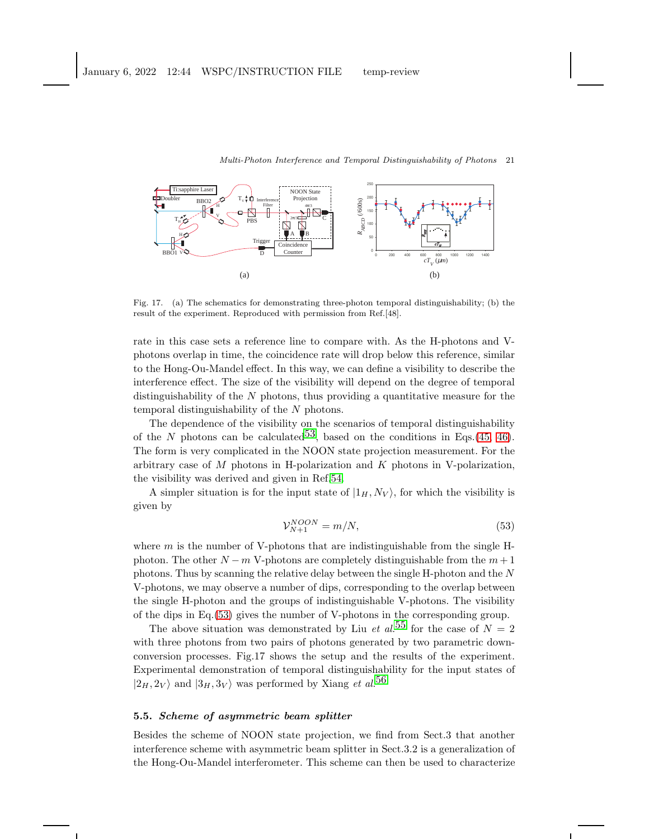

Fig. 17. (a) The schematics for demonstrating three-photon temporal distinguishability; (b) the result of the experiment. Reproduced with permission from Ref.[48].

rate in this case sets a reference line to compare with. As the H-photons and Vphotons overlap in time, the coincidence rate will drop below this reference, similar to the Hong-Ou-Mandel effect. In this way, we can define a visibility to describe the interference effect. The size of the visibility will depend on the degree of temporal distinguishability of the  $N$  photons, thus providing a quantitative measure for the temporal distinguishability of the N photons.

The dependence of the visibility on the scenarios of temporal distinguishability of the N photons can be calculated<sup>53</sup>, based on the conditions in Eqs.[\(45,](#page-18-0) [46\)](#page-18-1). The form is very complicated in the NOON state projection measurement. For the arbitrary case of  $M$  photons in H-polarization and  $K$  photons in V-polarization, the visibility was derived and given in Ref[.54.](#page-25-4)

A simpler situation is for the input state of  $|1_H, N_V\rangle$ , for which the visibility is given by

<span id="page-20-0"></span>
$$
\mathcal{V}_{N+1}^{NCON} = m/N,\tag{53}
$$

where  $m$  is the number of V-photons that are indistinguishable from the single Hphoton. The other  $N - m$  V-photons are completely distinguishable from the  $m + 1$ photons. Thus by scanning the relative delay between the single H-photon and the N V-photons, we may observe a number of dips, corresponding to the overlap between the single H-photon and the groups of indistinguishable V-photons. The visibility of the dips in Eq.[\(53\)](#page-20-0) gives the number of V-photons in the corresponding group.

The above situation was demonstrated by Liu *et al.*<sup>[55](#page-25-5)</sup> for the case of  $N = 2$ with three photons from two pairs of photons generated by two parametric downconversion processes. Fig.17 shows the setup and the results of the experiment. Experimental demonstration of temporal distinguishability for the input states of  $|2_H, 2_V\rangle$  and  $|3_H, 3_V\rangle$  was performed by Xiang *et al.*<sup>[56](#page-25-6)</sup>

### 5.5. Scheme of asymmetric beam splitter

Besides the scheme of NOON state projection, we find from Sect.3 that another interference scheme with asymmetric beam splitter in Sect.3.2 is a generalization of the Hong-Ou-Mandel interferometer. This scheme can then be used to characterize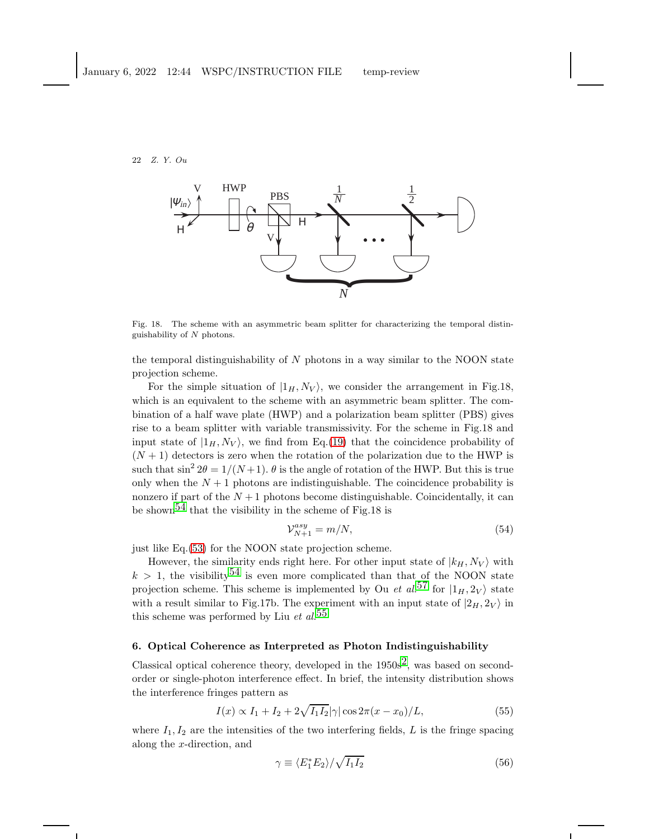

Fig. 18. The scheme with an asymmetric beam splitter for characterizing the temporal distinguishability of  $N$  photons.

the temporal distinguishability of  $N$  photons in a way similar to the NOON state projection scheme.

For the simple situation of  $|1_H, N_V\rangle$ , we consider the arrangement in Fig.18, which is an equivalent to the scheme with an asymmetric beam splitter. The combination of a half wave plate (HWP) and a polarization beam splitter (PBS) gives rise to a beam splitter with variable transmissivity. For the scheme in Fig.18 and input state of  $|1_H, N_V\rangle$ , we find from Eq.[\(19\)](#page-10-1) that the coincidence probability of  $(N + 1)$  detectors is zero when the rotation of the polarization due to the HWP is such that  $\sin^2 2\theta = 1/(N+1)$ .  $\theta$  is the angle of rotation of the HWP. But this is true only when the  $N + 1$  photons are indistinguishable. The coincidence probability is nonzero if part of the  $N+1$  photons become distinguishable. Coincidentally, it can be shown<sup>54</sup> that the visibility in the scheme of Fig.18 is

$$
\mathcal{V}_{N+1}^{asy} = m/N,\tag{54}
$$

just like Eq.[\(53\)](#page-20-0) for the NOON state projection scheme.

However, the similarity ends right here. For other input state of  $|k_H, N_V\rangle$  with  $k > 1$ , the visibility<sup>[54](#page-25-4)</sup> is even more complicated than that of the NOON state projection scheme. This scheme is implemented by Ou *et al.*<sup>[57](#page-25-7)</sup> for  $|1_H, 2_V\rangle$  state with a result similar to Fig.17b. The experiment with an input state of  $|2_H, 2_V\rangle$  in this scheme was performed by Liu *et al.*<sup>[55](#page-25-5)</sup>

## 6. Optical Coherence as Interpreted as Photon Indistinguishability

Classical optical coherence theory, developed in the  $1950s<sup>2</sup>$ , was based on secondorder or single-photon interference effect. In brief, the intensity distribution shows the interference fringes pattern as

<span id="page-21-0"></span>
$$
I(x) \propto I_1 + I_2 + 2\sqrt{I_1 I_2} |\gamma| \cos 2\pi (x - x_0) / L,
$$
\n(55)

where  $I_1, I_2$  are the intensities of the two interfering fields, L is the fringe spacing along the x-direction, and

<span id="page-21-1"></span>
$$
\gamma \equiv \langle E_1^* E_2 \rangle / \sqrt{I_1 I_2} \tag{56}
$$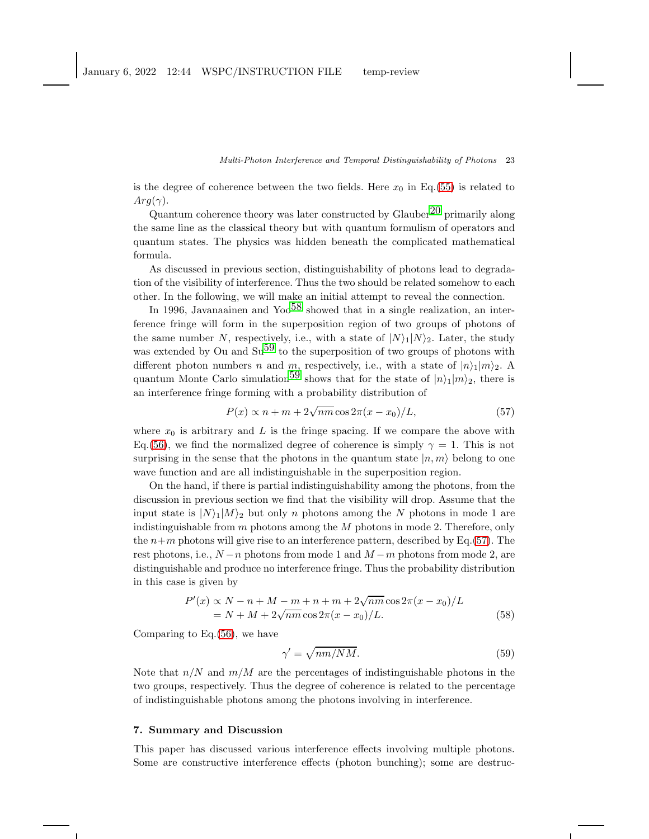is the degree of coherence between the two fields. Here  $x_0$  in Eq.[\(55\)](#page-21-0) is related to  $Arg(\gamma)$ .

Quantum coherence theory was later constructed by Glauber<sup>[20](#page-24-5)</sup> primarily along the same line as the classical theory but with quantum formulism of operators and quantum states. The physics was hidden beneath the complicated mathematical formula.

As discussed in previous section, distinguishability of photons lead to degradation of the visibility of interference. Thus the two should be related somehow to each other. In the following, we will make an initial attempt to reveal the connection.

In 1996, Javanaainen and Yoo<sup>[58](#page-25-8)</sup> showed that in a single realization, an interference fringe will form in the superposition region of two groups of photons of the same number N, respectively, i.e., with a state of  $|N\rangle_1|N\rangle_2$ . Later, the study was extended by Ou and  $\text{Su}^{59}$  to the superposition of two groups of photons with different photon numbers n and m, respectively, i.e., with a state of  $|n\rangle_1|m\rangle_2$ . A quantum Monte Carlo simulation<sup>59</sup> shows that for the state of  $|n\rangle_1|m\rangle_2$ , there is an interference fringe forming with a probability distribution of

<span id="page-22-0"></span>
$$
P(x) \propto n + m + 2\sqrt{nm} \cos 2\pi (x - x_0)/L, \tag{57}
$$

where  $x_0$  is arbitrary and L is the fringe spacing. If we compare the above with Eq.[\(56\)](#page-21-1), we find the normalized degree of coherence is simply  $\gamma = 1$ . This is not surprising in the sense that the photons in the quantum state  $|n, m\rangle$  belong to one wave function and are all indistinguishable in the superposition region.

On the hand, if there is partial indistinguishability among the photons, from the discussion in previous section we find that the visibility will drop. Assume that the input state is  $|N\rangle_1|M\rangle_2$  but only n photons among the N photons in mode 1 are indistinguishable from  $m$  photons among the  $M$  photons in mode 2. Therefore, only the  $n+m$  photons will give rise to an interference pattern, described by Eq.[\(57\)](#page-22-0). The rest photons, i.e.,  $N - n$  photons from mode 1 and  $M - m$  photons from mode 2, are distinguishable and produce no interference fringe. Thus the probability distribution in this case is given by

$$
P'(x) \propto N - n + M - m + n + m + 2\sqrt{nm} \cos 2\pi (x - x_0) / L
$$
  
= N + M + 2\sqrt{nm} \cos 2\pi (x - x\_0) / L. (58)

Comparing to Eq.[\(56\)](#page-21-1), we have

$$
\gamma' = \sqrt{nm/NM}.\tag{59}
$$

Note that  $n/N$  and  $m/M$  are the percentages of indistinguishable photons in the two groups, respectively. Thus the degree of coherence is related to the percentage of indistinguishable photons among the photons involving in interference.

### 7. Summary and Discussion

This paper has discussed various interference effects involving multiple photons. Some are constructive interference effects (photon bunching); some are destruc-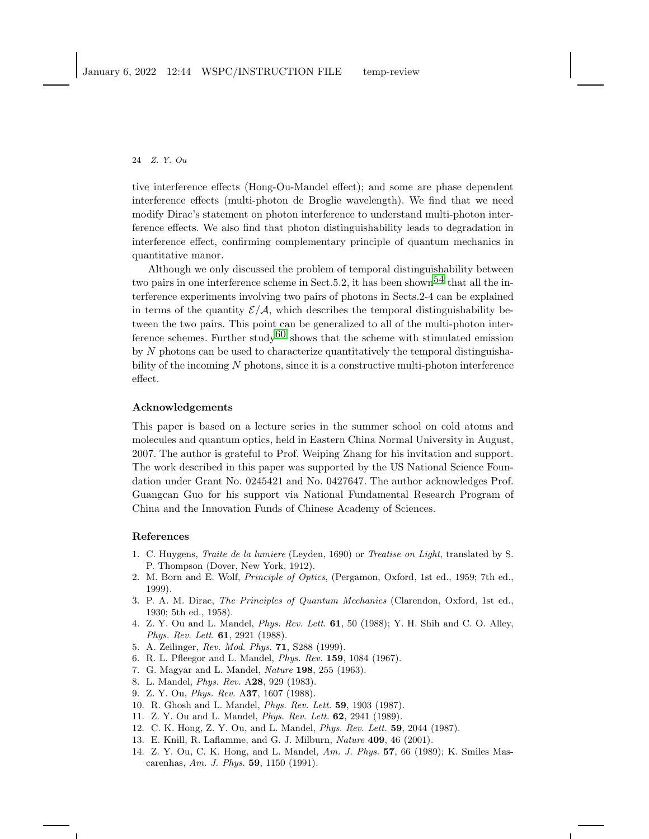tive interference effects (Hong-Ou-Mandel effect); and some are phase dependent interference effects (multi-photon de Broglie wavelength). We find that we need modify Dirac's statement on photon interference to understand multi-photon interference effects. We also find that photon distinguishability leads to degradation in interference effect, confirming complementary principle of quantum mechanics in quantitative manor.

Although we only discussed the problem of temporal distinguishability between two pairs in one interference scheme in Sect. 5.2, it has been shown<sup>54</sup> that all the interference experiments involving two pairs of photons in Sects.2-4 can be explained in terms of the quantity  $\mathcal{E}/\mathcal{A}$ , which describes the temporal distinguishability between the two pairs. This point can be generalized to all of the multi-photon inter-ference schemes. Further study<sup>[60](#page-25-10)</sup> shows that the scheme with stimulated emission by  $N$  photons can be used to characterize quantitatively the temporal distinguishability of the incoming N photons, since it is a constructive multi-photon interference effect.

#### Acknowledgements

This paper is based on a lecture series in the summer school on cold atoms and molecules and quantum optics, held in Eastern China Normal University in August, 2007. The author is grateful to Prof. Weiping Zhang for his invitation and support. The work described in this paper was supported by the US National Science Foundation under Grant No. 0245421 and No. 0427647. The author acknowledges Prof. Guangcan Guo for his support via National Fundamental Research Program of China and the Innovation Funds of Chinese Academy of Sciences.

#### <span id="page-23-0"></span>References

- 1. C. Huygens, Traite de la lumiere (Leyden, 1690) or Treatise on Light, translated by S. P. Thompson (Dover, New York, 1912).
- <span id="page-23-1"></span>2. M. Born and E. Wolf, Principle of Optics, (Pergamon, Oxford, 1st ed., 1959; 7th ed., 1999).
- <span id="page-23-2"></span>3. P. A. M. Dirac, The Principles of Quantum Mechanics (Clarendon, Oxford, 1st ed., 1930; 5th ed., 1958).
- <span id="page-23-3"></span>4. Z. Y. Ou and L. Mandel, Phys. Rev. Lett. 61, 50 (1988); Y. H. Shih and C. O. Alley, Phys. Rev. Lett. 61, 2921 (1988).
- <span id="page-23-5"></span><span id="page-23-4"></span>5. A. Zeilinger, Rev. Mod. Phys. 71, S288 (1999).
- <span id="page-23-6"></span>6. R. L. Pfleegor and L. Mandel, Phys. Rev. 159, 1084 (1967).
- <span id="page-23-7"></span>7. G. Magyar and L. Mandel, Nature 198, 255 (1963).
- <span id="page-23-8"></span>8. L. Mandel, Phys. Rev. A28, 929 (1983).
- <span id="page-23-9"></span>9. Z. Y. Ou, Phys. Rev. A37, 1607 (1988).
- <span id="page-23-10"></span>10. R. Ghosh and L. Mandel, Phys. Rev. Lett. 59, 1903 (1987).
- <span id="page-23-11"></span>11. Z. Y. Ou and L. Mandel, Phys. Rev. Lett. 62, 2941 (1989).
- <span id="page-23-12"></span>12. C. K. Hong, Z. Y. Ou, and L. Mandel, Phys. Rev. Lett. 59, 2044 (1987).
- <span id="page-23-13"></span>13. E. Knill, R. Laflamme, and G. J. Milburn, Nature 409, 46 (2001).
- 14. Z. Y. Ou, C. K. Hong, and L. Mandel, Am. J. Phys. 57, 66 (1989); K. Smiles Mascarenhas, Am. J. Phys. 59, 1150 (1991).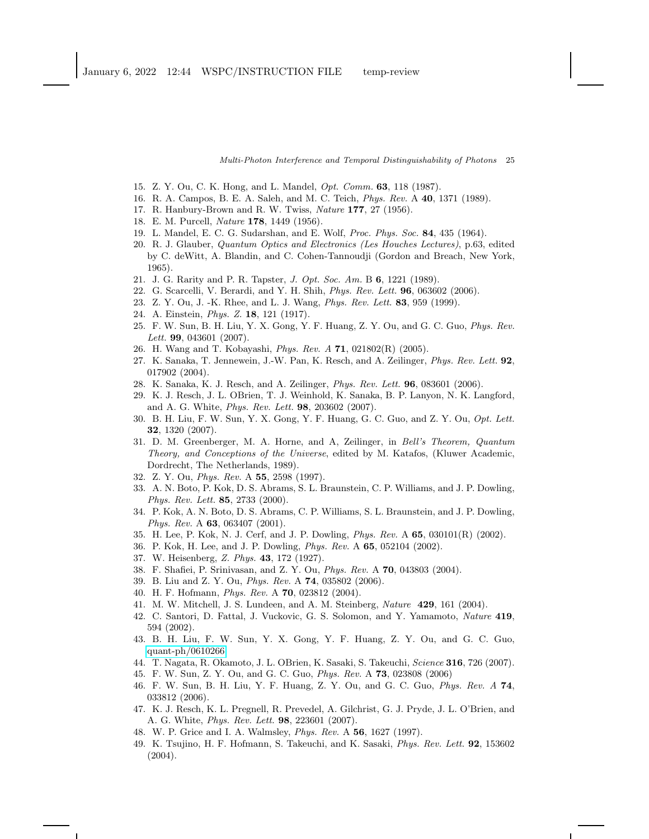- <span id="page-24-1"></span><span id="page-24-0"></span>15. Z. Y. Ou, C. K. Hong, and L. Mandel, Opt. Comm. 63, 118 (1987).
- <span id="page-24-2"></span>16. R. A. Campos, B. E. A. Saleh, and M. C. Teich, Phys. Rev. A 40, 1371 (1989).
- <span id="page-24-3"></span>17. R. Hanbury-Brown and R. W. Twiss, Nature 177, 27 (1956).
- <span id="page-24-4"></span>18. E. M. Purcell, Nature 178, 1449 (1956).
- <span id="page-24-5"></span>19. L. Mandel, E. C. G. Sudarshan, and E. Wolf, Proc. Phys. Soc. 84, 435 (1964).
- 20. R. J. Glauber, Quantum Optics and Electronics (Les Houches Lectures), p.63, edited by C. deWitt, A. Blandin, and C. Cohen-Tannoudji (Gordon and Breach, New York, 1965).
- <span id="page-24-7"></span><span id="page-24-6"></span>21. J. G. Rarity and P. R. Tapster, J. Opt. Soc. Am. B 6, 1221 (1989).
- <span id="page-24-8"></span>22. G. Scarcelli, V. Berardi, and Y. H. Shih, Phys. Rev. Lett. 96, 063602 (2006).
- <span id="page-24-9"></span>23. Z. Y. Ou, J. -K. Rhee, and L. J. Wang, Phys. Rev. Lett. 83, 959 (1999).
- <span id="page-24-10"></span>24. A. Einstein, Phys. Z. 18, 121 (1917).
- 25. F. W. Sun, B. H. Liu, Y. X. Gong, Y. F. Huang, Z. Y. Ou, and G. C. Guo, Phys. Rev. Lett. **99**, 043601 (2007).
- <span id="page-24-12"></span><span id="page-24-11"></span>26. H. Wang and T. Kobayashi, Phys. Rev. A 71, 021802(R) (2005).
- 27. K. Sanaka, T. Jennewein, J.-W. Pan, K. Resch, and A. Zeilinger, Phys. Rev. Lett. 92, 017902 (2004).
- <span id="page-24-14"></span><span id="page-24-13"></span>28. K. Sanaka, K. J. Resch, and A. Zeilinger, Phys. Rev. Lett. 96, 083601 (2006).
- 29. K. J. Resch, J. L. OBrien, T. J. Weinhold, K. Sanaka, B. P. Lanyon, N. K. Langford, and A. G. White, Phys. Rev. Lett. 98, 203602 (2007).
- <span id="page-24-15"></span>30. B. H. Liu, F. W. Sun, Y. X. Gong, Y. F. Huang, G. C. Guo, and Z. Y. Ou, Opt. Lett. 32, 1320 (2007).
- <span id="page-24-16"></span>31. D. M. Greenberger, M. A. Horne, and A, Zeilinger, in Bell's Theorem, Quantum Theory, and Conceptions of the Universe, edited by M. Katafos, (Kluwer Academic, Dordrecht, The Netherlands, 1989).
- <span id="page-24-18"></span><span id="page-24-17"></span>32. Z. Y. Ou, Phys. Rev. A 55, 2598 (1997).
- 33. A. N. Boto, P. Kok, D. S. Abrams, S. L. Braunstein, C. P. Williams, and J. P. Dowling, Phys. Rev. Lett. 85, 2733 (2000).
- <span id="page-24-19"></span>34. P. Kok, A. N. Boto, D. S. Abrams, C. P. Williams, S. L. Braunstein, and J. P. Dowling, Phys. Rev. A 63, 063407 (2001).
- <span id="page-24-21"></span><span id="page-24-20"></span>35. H. Lee, P. Kok, N. J. Cerf, and J. P. Dowling, Phys. Rev. A 65, 030101(R) (2002).
- <span id="page-24-22"></span>36. P. Kok, H. Lee, and J. P. Dowling, Phys. Rev. A 65, 052104 (2002).
- <span id="page-24-23"></span>37. W. Heisenberg, Z. Phys. 43, 172 (1927).
- <span id="page-24-24"></span>38. F. Shafiei, P. Srinivasan, and Z. Y. Ou, Phys. Rev. A 70, 043803 (2004).
- <span id="page-24-25"></span>39. B. Liu and Z. Y. Ou, Phys. Rev. A 74, 035802 (2006).
- <span id="page-24-26"></span>40. H. F. Hofmann, Phys. Rev. A 70, 023812 (2004).
- <span id="page-24-27"></span>41. M. W. Mitchell, J. S. Lundeen, and A. M. Steinberg, Nature 429, 161 (2004).
- 42. C. Santori, D. Fattal, J. Vuckovic, G. S. Solomon, and Y. Yamamoto, Nature 419, 594 (2002).
- <span id="page-24-28"></span>43. B. H. Liu, F. W. Sun, Y. X. Gong, Y. F. Huang, Z. Y. Ou, and G. C. Guo, [quant-ph/0610266.](http://arxiv.org/abs/quant-ph/0610266)
- <span id="page-24-30"></span><span id="page-24-29"></span>44. T. Nagata, R. Okamoto, J. L. OBrien, K. Sasaki, S. Takeuchi, Science 316, 726 (2007).
- <span id="page-24-31"></span>45. F. W. Sun, Z. Y. Ou, and G. C. Guo, Phys. Rev. A 73, 023808 (2006)
- 46. F. W. Sun, B. H. Liu, Y. F. Huang, Z. Y. Ou, and G. C. Guo, Phys. Rev. A 74, 033812 (2006).
- <span id="page-24-32"></span>47. K. J. Resch, K. L. Pregnell, R. Prevedel, A. Gilchrist, G. J. Pryde, J. L. O'Brien, and A. G. White, Phys. Rev. Lett. 98, 223601 (2007).
- <span id="page-24-34"></span><span id="page-24-33"></span>48. W. P. Grice and I. A. Walmsley, Phys. Rev. A 56, 1627 (1997).
- 49. K. Tsujino, H. F. Hofmann, S. Takeuchi, and K. Sasaki, *Phys. Rev. Lett.* 92, 153602 (2004).